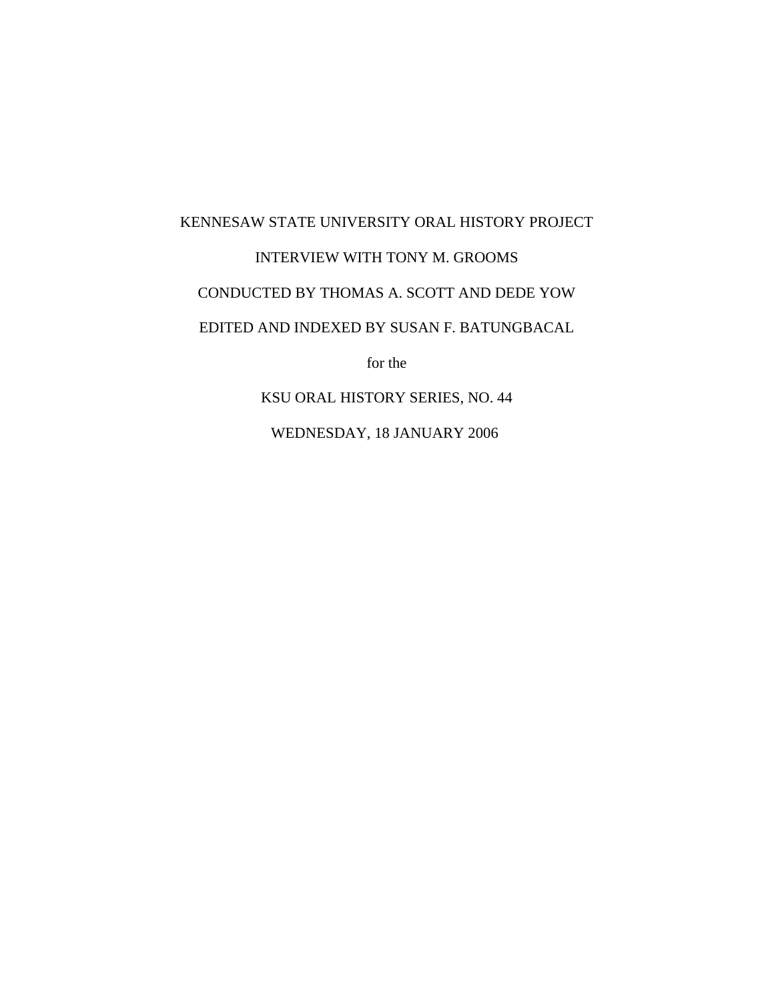## KENNESAW STATE UNIVERSITY ORAL HISTORY PROJECT INTERVIEW WITH TONY M. GROOMS CONDUCTED BY THOMAS A. SCOTT AND DEDE YOW EDITED AND INDEXED BY SUSAN F. BATUNGBACAL for the

KSU ORAL HISTORY SERIES, NO. 44

WEDNESDAY, 18 JANUARY 2006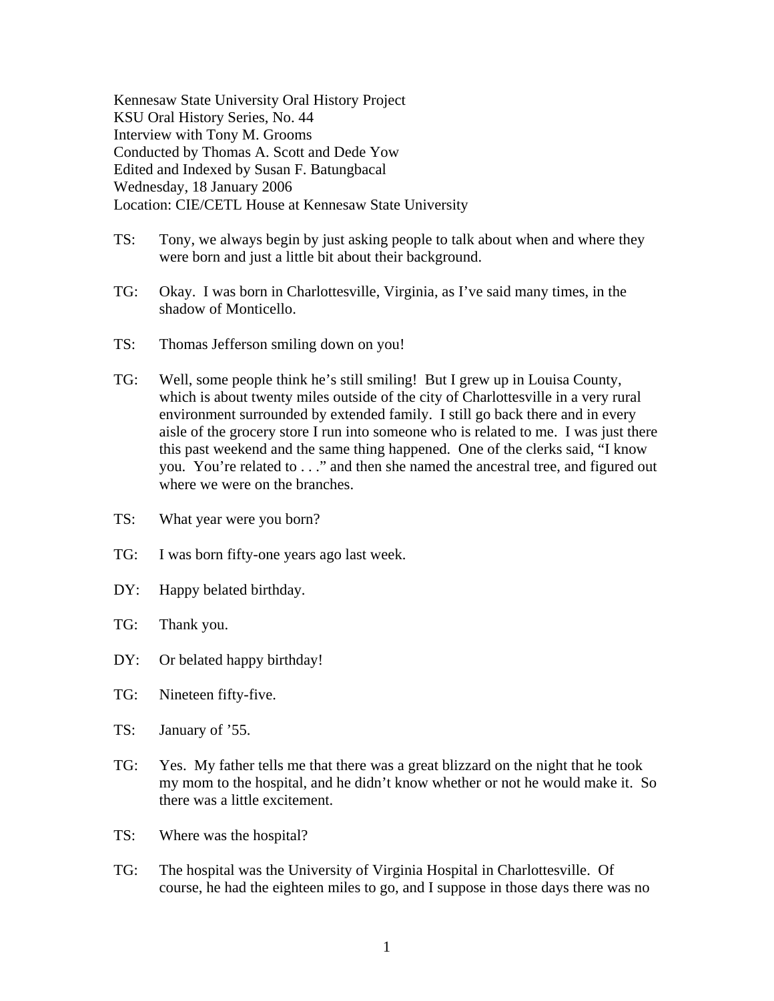Kennesaw State University Oral History Project KSU Oral History Series, No. 44 Interview with Tony M. Grooms Conducted by Thomas A. Scott and Dede Yow Edited and Indexed by Susan F. Batungbacal Wednesday, 18 January 2006 Location: CIE/CETL House at Kennesaw State University

- TS: Tony, we always begin by just asking people to talk about when and where they were born and just a little bit about their background.
- TG: Okay. I was born in Charlottesville, Virginia, as I've said many times, in the shadow of Monticello.
- TS: Thomas Jefferson smiling down on you!
- TG: Well, some people think he's still smiling! But I grew up in Louisa County, which is about twenty miles outside of the city of Charlottesville in a very rural environment surrounded by extended family. I still go back there and in every aisle of the grocery store I run into someone who is related to me. I was just there this past weekend and the same thing happened. One of the clerks said, "I know you. You're related to . . ." and then she named the ancestral tree, and figured out where we were on the branches.
- TS: What year were you born?
- TG: I was born fifty-one years ago last week.
- DY: Happy belated birthday.
- TG: Thank you.
- DY: Or belated happy birthday!
- TG: Nineteen fifty-five.
- TS: January of '55.
- TG: Yes. My father tells me that there was a great blizzard on the night that he took my mom to the hospital, and he didn't know whether or not he would make it. So there was a little excitement.
- TS: Where was the hospital?
- TG: The hospital was the University of Virginia Hospital in Charlottesville. Of course, he had the eighteen miles to go, and I suppose in those days there was no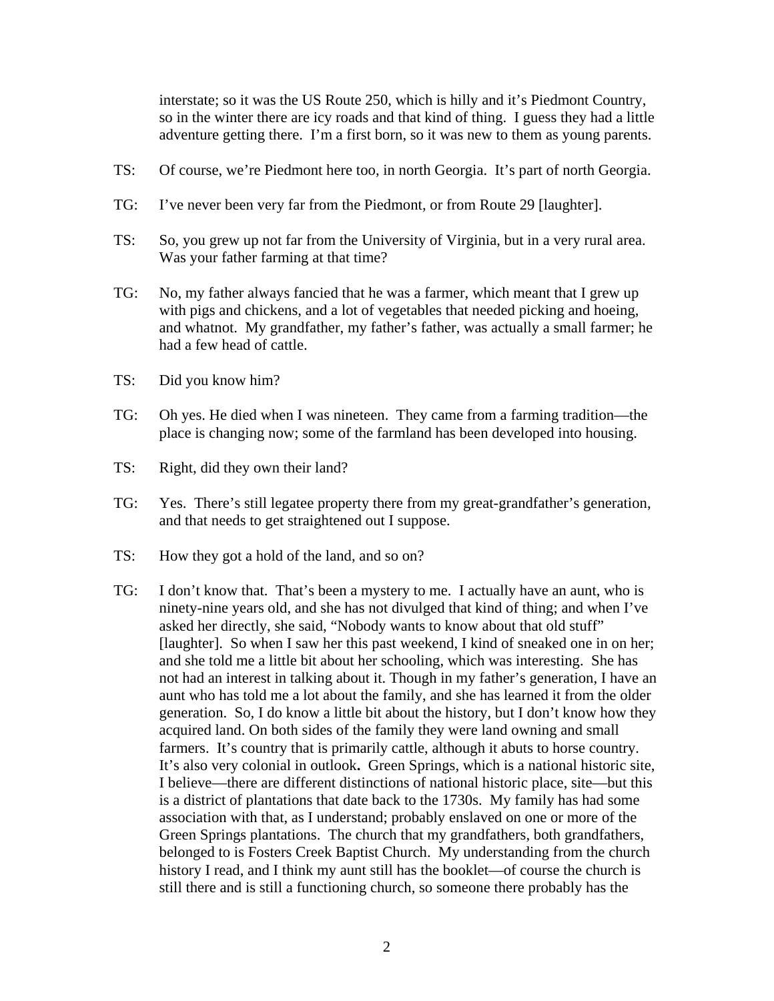interstate; so it was the US Route 250, which is hilly and it's Piedmont Country, so in the winter there are icy roads and that kind of thing. I guess they had a little adventure getting there. I'm a first born, so it was new to them as young parents.

- TS: Of course, we're Piedmont here too, in north Georgia. It's part of north Georgia.
- TG: I've never been very far from the Piedmont, or from Route 29 [laughter].
- TS: So, you grew up not far from the University of Virginia, but in a very rural area. Was your father farming at that time?
- TG: No, my father always fancied that he was a farmer, which meant that I grew up with pigs and chickens, and a lot of vegetables that needed picking and hoeing, and whatnot. My grandfather, my father's father, was actually a small farmer; he had a few head of cattle.
- TS: Did you know him?
- TG: Oh yes. He died when I was nineteen. They came from a farming tradition—the place is changing now; some of the farmland has been developed into housing.
- TS: Right, did they own their land?
- TG: Yes. There's still legatee property there from my great-grandfather's generation, and that needs to get straightened out I suppose.
- TS: How they got a hold of the land, and so on?
- TG: I don't know that. That's been a mystery to me. I actually have an aunt, who is ninety-nine years old, and she has not divulged that kind of thing; and when I've asked her directly, she said, "Nobody wants to know about that old stuff" [laughter]. So when I saw her this past weekend, I kind of sneaked one in on her; and she told me a little bit about her schooling, which was interesting. She has not had an interest in talking about it. Though in my father's generation, I have an aunt who has told me a lot about the family, and she has learned it from the older generation. So, I do know a little bit about the history, but I don't know how they acquired land. On both sides of the family they were land owning and small farmers. It's country that is primarily cattle, although it abuts to horse country. It's also very colonial in outlook**.** Green Springs, which is a national historic site, I believe—there are different distinctions of national historic place, site—but this is a district of plantations that date back to the 1730s. My family has had some association with that, as I understand; probably enslaved on one or more of the Green Springs plantations. The church that my grandfathers, both grandfathers, belonged to is Fosters Creek Baptist Church. My understanding from the church history I read, and I think my aunt still has the booklet—of course the church is still there and is still a functioning church, so someone there probably has the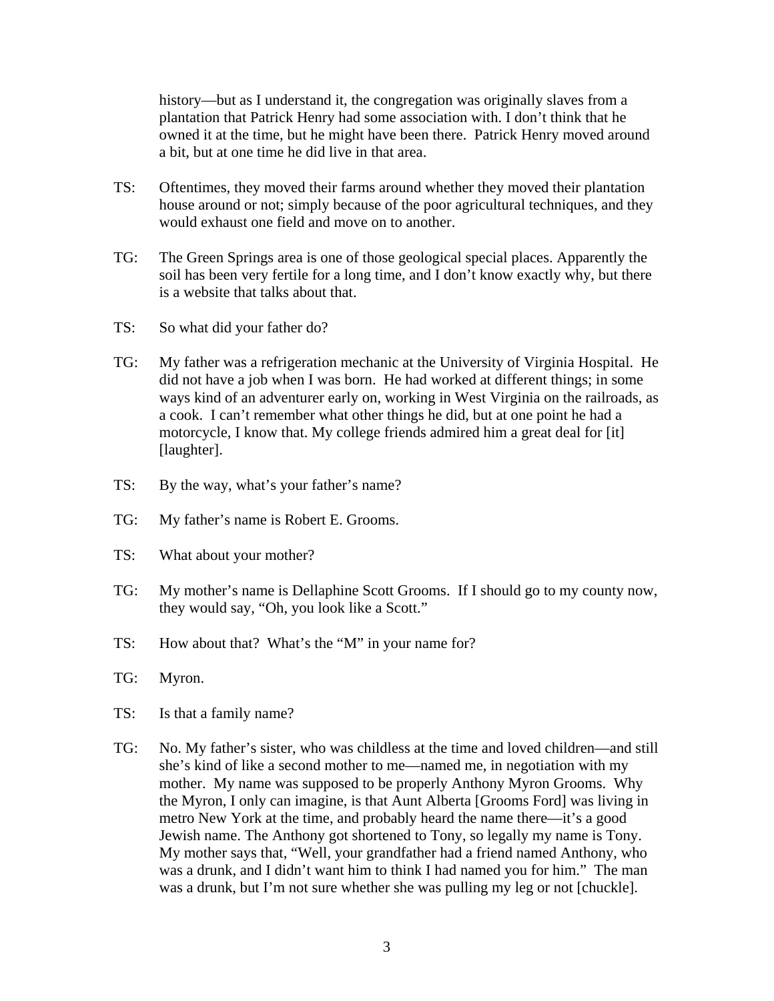history—but as I understand it, the congregation was originally slaves from a plantation that Patrick Henry had some association with. I don't think that he owned it at the time, but he might have been there. Patrick Henry moved around a bit, but at one time he did live in that area.

- TS: Oftentimes, they moved their farms around whether they moved their plantation house around or not; simply because of the poor agricultural techniques, and they would exhaust one field and move on to another.
- TG: The Green Springs area is one of those geological special places. Apparently the soil has been very fertile for a long time, and I don't know exactly why, but there is a website that talks about that.
- TS: So what did your father do?
- TG: My father was a refrigeration mechanic at the University of Virginia Hospital. He did not have a job when I was born. He had worked at different things; in some ways kind of an adventurer early on, working in West Virginia on the railroads, as a cook. I can't remember what other things he did, but at one point he had a motorcycle, I know that. My college friends admired him a great deal for [it] [laughter].
- TS: By the way, what's your father's name?
- TG: My father's name is Robert E. Grooms.
- TS: What about your mother?
- TG: My mother's name is Dellaphine Scott Grooms. If I should go to my county now, they would say, "Oh, you look like a Scott."
- TS: How about that? What's the "M" in your name for?
- TG: Myron.
- TS: Is that a family name?
- TG: No. My father's sister, who was childless at the time and loved children—and still she's kind of like a second mother to me—named me, in negotiation with my mother. My name was supposed to be properly Anthony Myron Grooms. Why the Myron, I only can imagine, is that Aunt Alberta [Grooms Ford] was living in metro New York at the time, and probably heard the name there—it's a good Jewish name. The Anthony got shortened to Tony, so legally my name is Tony. My mother says that, "Well, your grandfather had a friend named Anthony, who was a drunk, and I didn't want him to think I had named you for him." The man was a drunk, but I'm not sure whether she was pulling my leg or not [chuckle].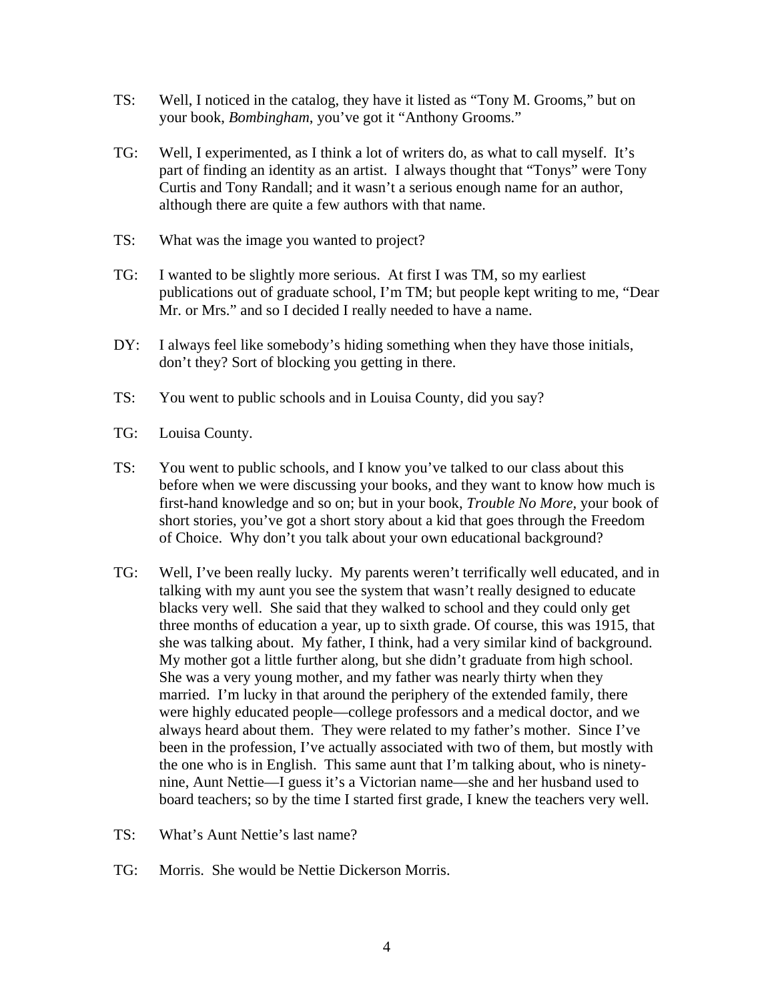- TS: Well, I noticed in the catalog, they have it listed as "Tony M. Grooms," but on your book, *Bombingham*, you've got it "Anthony Grooms."
- TG: Well, I experimented, as I think a lot of writers do, as what to call myself. It's part of finding an identity as an artist. I always thought that "Tonys" were Tony Curtis and Tony Randall; and it wasn't a serious enough name for an author, although there are quite a few authors with that name.
- TS: What was the image you wanted to project?
- TG: I wanted to be slightly more serious. At first I was TM, so my earliest publications out of graduate school, I'm TM; but people kept writing to me, "Dear Mr. or Mrs." and so I decided I really needed to have a name.
- DY: I always feel like somebody's hiding something when they have those initials, don't they? Sort of blocking you getting in there.
- TS: You went to public schools and in Louisa County, did you say?
- TG: Louisa County.
- TS: You went to public schools, and I know you've talked to our class about this before when we were discussing your books, and they want to know how much is first-hand knowledge and so on; but in your book, *Trouble No More,* your book of short stories, you've got a short story about a kid that goes through the Freedom of Choice. Why don't you talk about your own educational background?
- TG: Well, I've been really lucky. My parents weren't terrifically well educated, and in talking with my aunt you see the system that wasn't really designed to educate blacks very well. She said that they walked to school and they could only get three months of education a year, up to sixth grade. Of course, this was 1915, that she was talking about. My father, I think, had a very similar kind of background. My mother got a little further along, but she didn't graduate from high school. She was a very young mother, and my father was nearly thirty when they married. I'm lucky in that around the periphery of the extended family, there were highly educated people—college professors and a medical doctor, and we always heard about them. They were related to my father's mother. Since I've been in the profession, I've actually associated with two of them, but mostly with the one who is in English. This same aunt that I'm talking about, who is ninetynine, Aunt Nettie—I guess it's a Victorian name—she and her husband used to board teachers; so by the time I started first grade, I knew the teachers very well.
- TS: What's Aunt Nettie's last name?
- TG: Morris. She would be Nettie Dickerson Morris.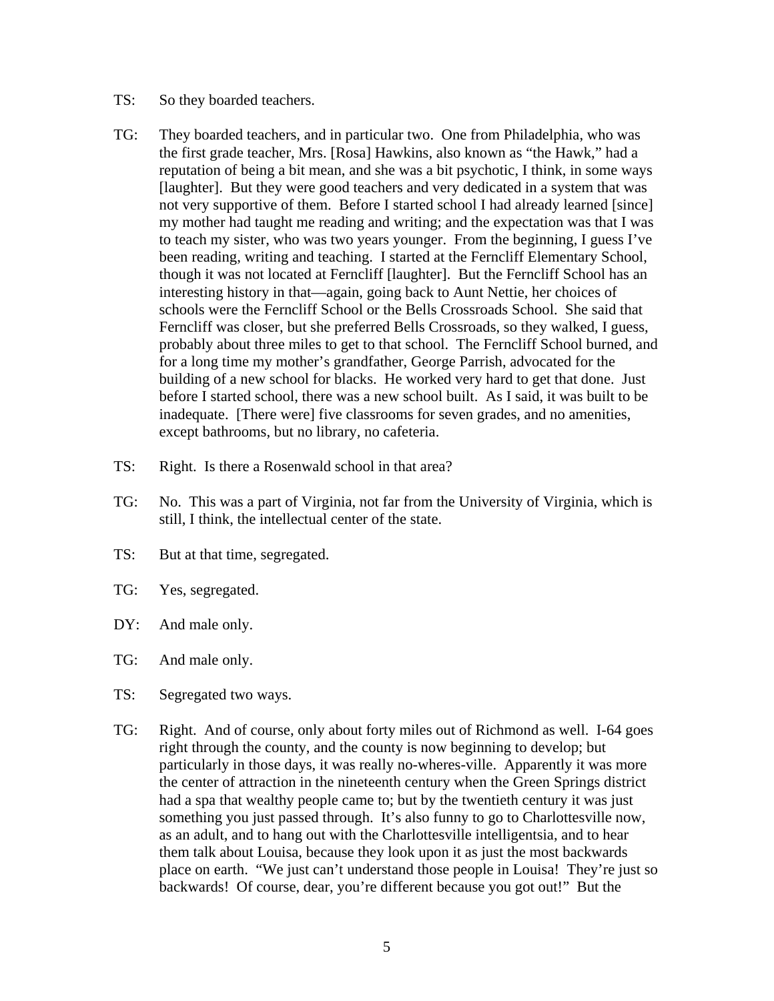- TS: So they boarded teachers.
- TG: They boarded teachers, and in particular two. One from Philadelphia, who was the first grade teacher, Mrs. [Rosa] Hawkins, also known as "the Hawk," had a reputation of being a bit mean, and she was a bit psychotic, I think, in some ways [laughter]. But they were good teachers and very dedicated in a system that was not very supportive of them. Before I started school I had already learned [since] my mother had taught me reading and writing; and the expectation was that I was to teach my sister, who was two years younger. From the beginning, I guess I've been reading, writing and teaching. I started at the Ferncliff Elementary School, though it was not located at Ferncliff [laughter]. But the Ferncliff School has an interesting history in that—again, going back to Aunt Nettie, her choices of schools were the Ferncliff School or the Bells Crossroads School. She said that Ferncliff was closer, but she preferred Bells Crossroads, so they walked, I guess, probably about three miles to get to that school. The Ferncliff School burned, and for a long time my mother's grandfather, George Parrish, advocated for the building of a new school for blacks. He worked very hard to get that done. Just before I started school, there was a new school built. As I said, it was built to be inadequate. [There were] five classrooms for seven grades, and no amenities, except bathrooms, but no library, no cafeteria.
- TS: Right. Is there a Rosenwald school in that area?
- TG: No. This was a part of Virginia, not far from the University of Virginia, which is still, I think, the intellectual center of the state.
- TS: But at that time, segregated.
- TG: Yes, segregated.
- DY: And male only.
- TG: And male only.
- TS: Segregated two ways.
- TG: Right. And of course, only about forty miles out of Richmond as well. I-64 goes right through the county, and the county is now beginning to develop; but particularly in those days, it was really no-wheres-ville. Apparently it was more the center of attraction in the nineteenth century when the Green Springs district had a spa that wealthy people came to; but by the twentieth century it was just something you just passed through. It's also funny to go to Charlottesville now, as an adult, and to hang out with the Charlottesville intelligentsia, and to hear them talk about Louisa, because they look upon it as just the most backwards place on earth. "We just can't understand those people in Louisa! They're just so backwards! Of course, dear, you're different because you got out!" But the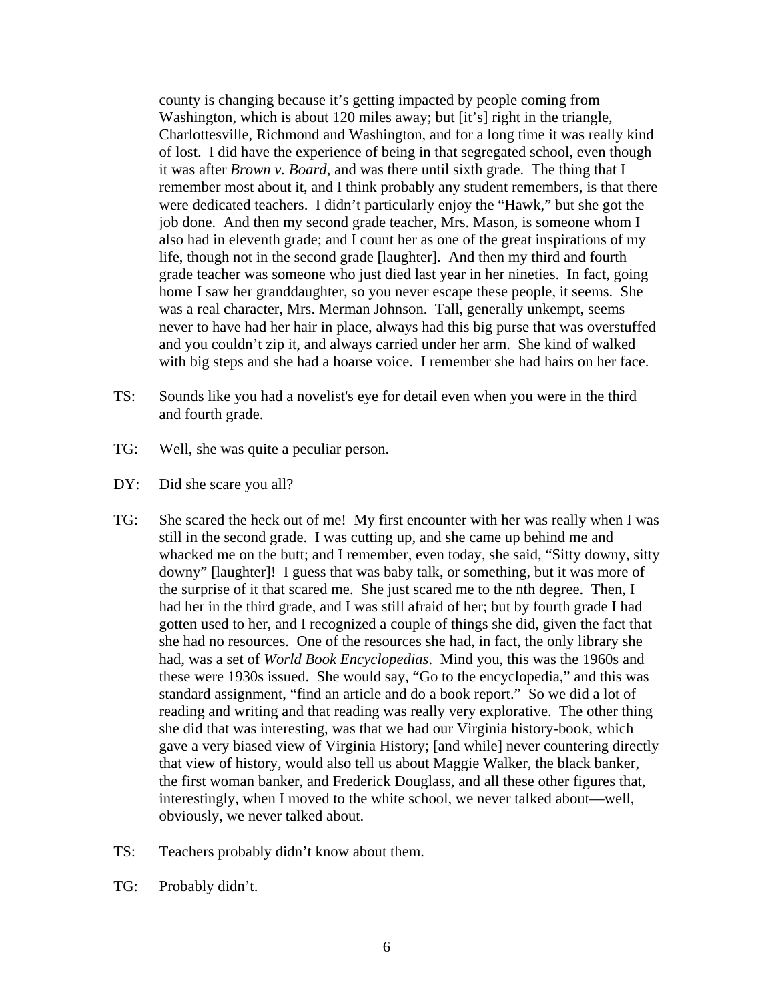county is changing because it's getting impacted by people coming from Washington, which is about 120 miles away; but [it's] right in the triangle, Charlottesville, Richmond and Washington, and for a long time it was really kind of lost. I did have the experience of being in that segregated school, even though it was after *Brown v. Board*, and was there until sixth grade. The thing that I remember most about it, and I think probably any student remembers, is that there were dedicated teachers. I didn't particularly enjoy the "Hawk," but she got the job done. And then my second grade teacher, Mrs. Mason, is someone whom I also had in eleventh grade; and I count her as one of the great inspirations of my life, though not in the second grade [laughter]. And then my third and fourth grade teacher was someone who just died last year in her nineties. In fact, going home I saw her granddaughter, so you never escape these people, it seems. She was a real character, Mrs. Merman Johnson. Tall, generally unkempt, seems never to have had her hair in place, always had this big purse that was overstuffed and you couldn't zip it, and always carried under her arm. She kind of walked with big steps and she had a hoarse voice. I remember she had hairs on her face.

- TS: Sounds like you had a novelist's eye for detail even when you were in the third and fourth grade.
- TG: Well, she was quite a peculiar person.
- DY: Did she scare you all?
- TG: She scared the heck out of me! My first encounter with her was really when I was still in the second grade. I was cutting up, and she came up behind me and whacked me on the butt; and I remember, even today, she said, "Sitty downy, sitty downy" [laughter]! I guess that was baby talk, or something, but it was more of the surprise of it that scared me. She just scared me to the nth degree. Then, I had her in the third grade, and I was still afraid of her; but by fourth grade I had gotten used to her, and I recognized a couple of things she did, given the fact that she had no resources. One of the resources she had, in fact, the only library she had, was a set of *World Book Encyclopedias*. Mind you, this was the 1960s and these were 1930s issued. She would say, "Go to the encyclopedia," and this was standard assignment, "find an article and do a book report." So we did a lot of reading and writing and that reading was really very explorative. The other thing she did that was interesting, was that we had our Virginia history-book, which gave a very biased view of Virginia History; [and while] never countering directly that view of history, would also tell us about Maggie Walker, the black banker, the first woman banker, and Frederick Douglass, and all these other figures that, interestingly, when I moved to the white school, we never talked about—well, obviously, we never talked about.
- TS: Teachers probably didn't know about them.
- TG: Probably didn't.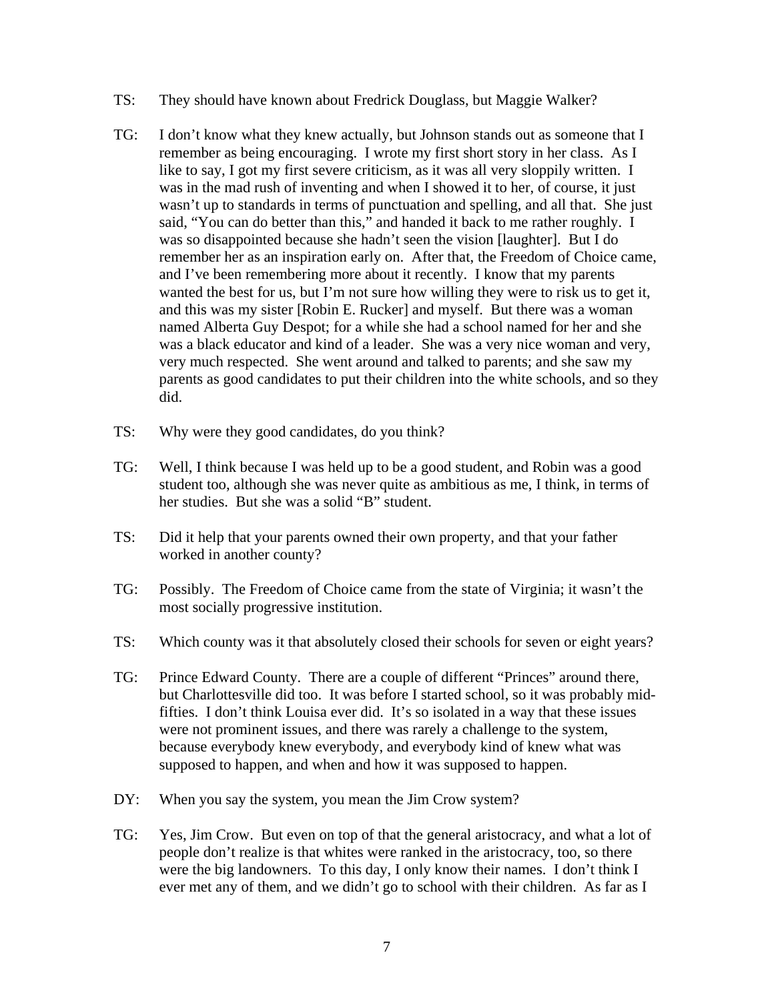- TS: They should have known about Fredrick Douglass, but Maggie Walker?
- TG: I don't know what they knew actually, but Johnson stands out as someone that I remember as being encouraging. I wrote my first short story in her class. As I like to say, I got my first severe criticism, as it was all very sloppily written. I was in the mad rush of inventing and when I showed it to her, of course, it just wasn't up to standards in terms of punctuation and spelling, and all that. She just said, "You can do better than this," and handed it back to me rather roughly. I was so disappointed because she hadn't seen the vision [laughter]. But I do remember her as an inspiration early on. After that, the Freedom of Choice came, and I've been remembering more about it recently. I know that my parents wanted the best for us, but I'm not sure how willing they were to risk us to get it, and this was my sister [Robin E. Rucker] and myself. But there was a woman named Alberta Guy Despot; for a while she had a school named for her and she was a black educator and kind of a leader. She was a very nice woman and very, very much respected. She went around and talked to parents; and she saw my parents as good candidates to put their children into the white schools, and so they did.
- TS: Why were they good candidates, do you think?
- TG: Well, I think because I was held up to be a good student, and Robin was a good student too, although she was never quite as ambitious as me, I think, in terms of her studies. But she was a solid "B" student.
- TS: Did it help that your parents owned their own property, and that your father worked in another county?
- TG: Possibly. The Freedom of Choice came from the state of Virginia; it wasn't the most socially progressive institution.
- TS: Which county was it that absolutely closed their schools for seven or eight years?
- TG: Prince Edward County. There are a couple of different "Princes" around there, but Charlottesville did too. It was before I started school, so it was probably midfifties. I don't think Louisa ever did. It's so isolated in a way that these issues were not prominent issues, and there was rarely a challenge to the system, because everybody knew everybody, and everybody kind of knew what was supposed to happen, and when and how it was supposed to happen.
- DY: When you say the system, you mean the Jim Crow system?
- TG: Yes, Jim Crow. But even on top of that the general aristocracy, and what a lot of people don't realize is that whites were ranked in the aristocracy, too, so there were the big landowners. To this day, I only know their names. I don't think I ever met any of them, and we didn't go to school with their children. As far as I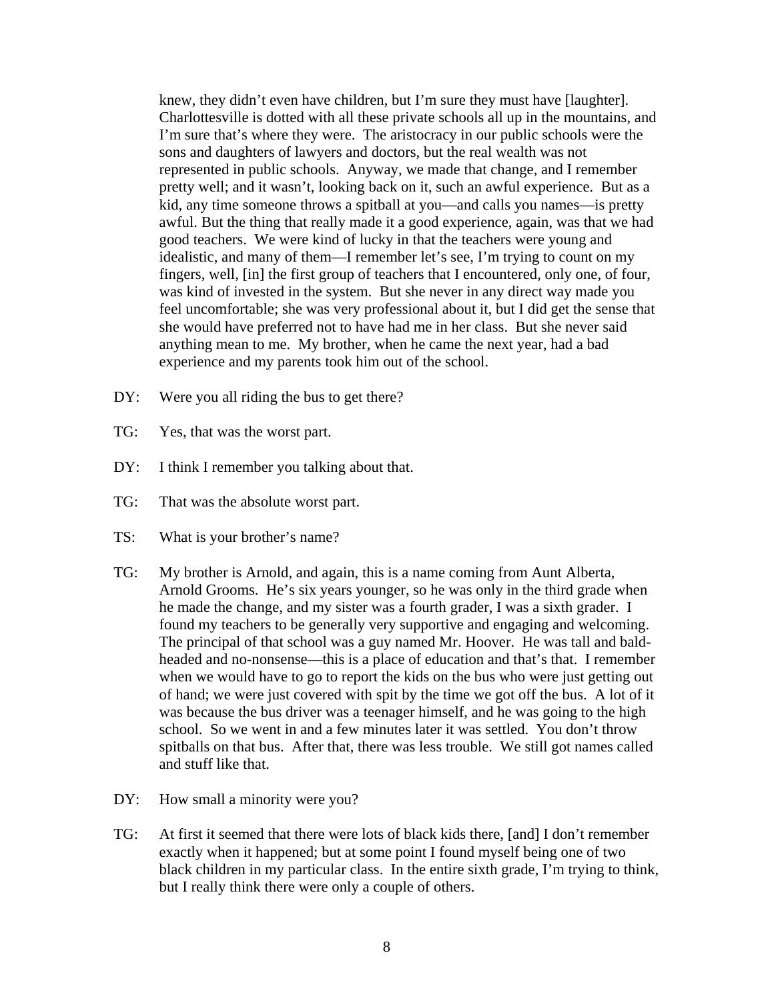knew, they didn't even have children, but I'm sure they must have [laughter]. Charlottesville is dotted with all these private schools all up in the mountains, and I'm sure that's where they were. The aristocracy in our public schools were the sons and daughters of lawyers and doctors, but the real wealth was not represented in public schools. Anyway, we made that change, and I remember pretty well; and it wasn't, looking back on it, such an awful experience. But as a kid, any time someone throws a spitball at you—and calls you names—is pretty awful. But the thing that really made it a good experience, again, was that we had good teachers. We were kind of lucky in that the teachers were young and idealistic, and many of them—I remember let's see, I'm trying to count on my fingers, well, [in] the first group of teachers that I encountered, only one, of four, was kind of invested in the system. But she never in any direct way made you feel uncomfortable; she was very professional about it, but I did get the sense that she would have preferred not to have had me in her class. But she never said anything mean to me. My brother, when he came the next year, had a bad experience and my parents took him out of the school.

- DY: Were you all riding the bus to get there?
- TG: Yes, that was the worst part.
- DY: I think I remember you talking about that.
- TG: That was the absolute worst part.
- TS: What is your brother's name?
- TG: My brother is Arnold, and again, this is a name coming from Aunt Alberta, Arnold Grooms. He's six years younger, so he was only in the third grade when he made the change, and my sister was a fourth grader, I was a sixth grader. I found my teachers to be generally very supportive and engaging and welcoming. The principal of that school was a guy named Mr. Hoover. He was tall and baldheaded and no-nonsense—this is a place of education and that's that. I remember when we would have to go to report the kids on the bus who were just getting out of hand; we were just covered with spit by the time we got off the bus. A lot of it was because the bus driver was a teenager himself, and he was going to the high school. So we went in and a few minutes later it was settled. You don't throw spitballs on that bus. After that, there was less trouble. We still got names called and stuff like that.
- DY: How small a minority were you?
- TG: At first it seemed that there were lots of black kids there, [and] I don't remember exactly when it happened; but at some point I found myself being one of two black children in my particular class. In the entire sixth grade, I'm trying to think, but I really think there were only a couple of others.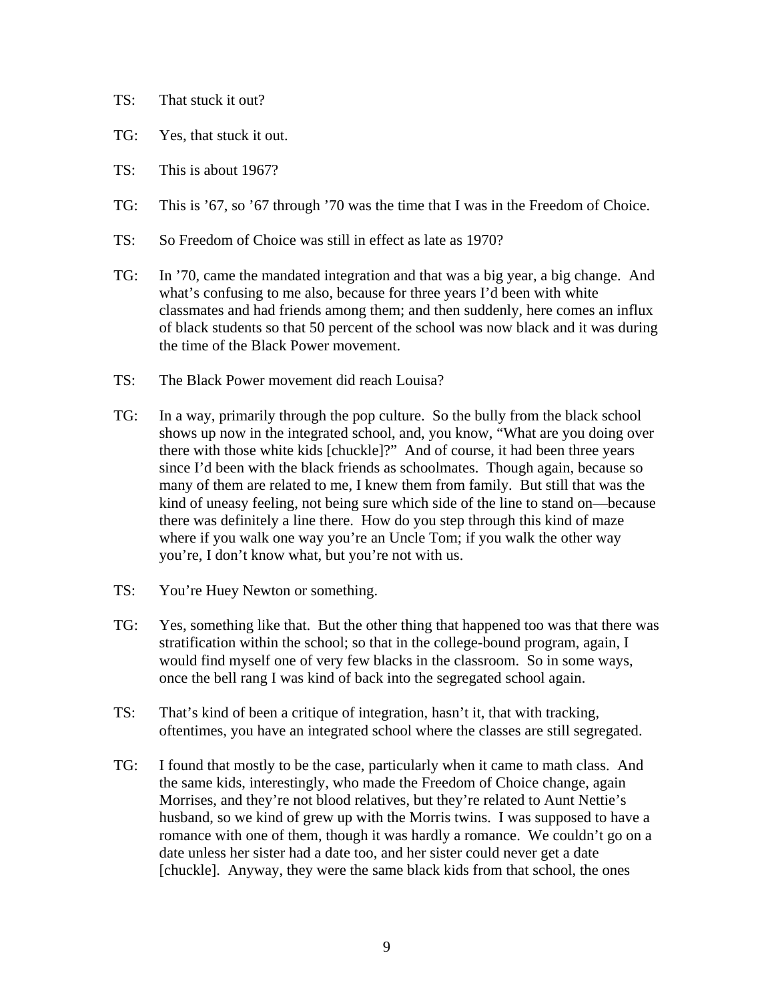- TS: That stuck it out?
- TG: Yes, that stuck it out.
- TS: This is about 1967?
- TG: This is '67, so '67 through '70 was the time that I was in the Freedom of Choice.
- TS: So Freedom of Choice was still in effect as late as 1970?
- TG: In '70, came the mandated integration and that was a big year, a big change. And what's confusing to me also, because for three years I'd been with white classmates and had friends among them; and then suddenly, here comes an influx of black students so that 50 percent of the school was now black and it was during the time of the Black Power movement.
- TS: The Black Power movement did reach Louisa?
- TG: In a way, primarily through the pop culture. So the bully from the black school shows up now in the integrated school, and, you know, "What are you doing over there with those white kids [chuckle]?" And of course, it had been three years since I'd been with the black friends as schoolmates. Though again, because so many of them are related to me, I knew them from family. But still that was the kind of uneasy feeling, not being sure which side of the line to stand on—because there was definitely a line there. How do you step through this kind of maze where if you walk one way you're an Uncle Tom; if you walk the other way you're, I don't know what, but you're not with us.
- TS: You're Huey Newton or something.
- TG: Yes, something like that. But the other thing that happened too was that there was stratification within the school; so that in the college-bound program, again, I would find myself one of very few blacks in the classroom. So in some ways, once the bell rang I was kind of back into the segregated school again.
- TS: That's kind of been a critique of integration, hasn't it, that with tracking, oftentimes, you have an integrated school where the classes are still segregated.
- TG: I found that mostly to be the case, particularly when it came to math class. And the same kids, interestingly, who made the Freedom of Choice change, again Morrises, and they're not blood relatives, but they're related to Aunt Nettie's husband, so we kind of grew up with the Morris twins. I was supposed to have a romance with one of them, though it was hardly a romance. We couldn't go on a date unless her sister had a date too, and her sister could never get a date [chuckle]. Anyway, they were the same black kids from that school, the ones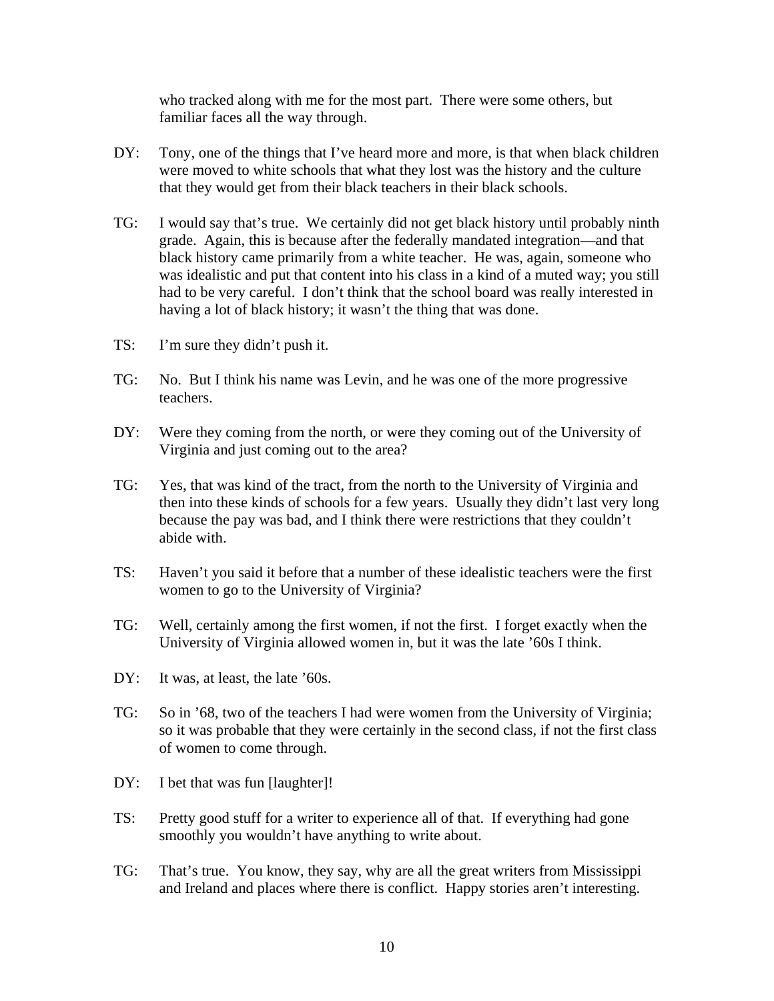who tracked along with me for the most part. There were some others, but familiar faces all the way through.

- DY: Tony, one of the things that I've heard more and more, is that when black children were moved to white schools that what they lost was the history and the culture that they would get from their black teachers in their black schools.
- TG: I would say that's true. We certainly did not get black history until probably ninth grade. Again, this is because after the federally mandated integration—and that black history came primarily from a white teacher. He was, again, someone who was idealistic and put that content into his class in a kind of a muted way; you still had to be very careful. I don't think that the school board was really interested in having a lot of black history; it wasn't the thing that was done.
- TS: I'm sure they didn't push it.
- TG: No. But I think his name was Levin, and he was one of the more progressive teachers.
- DY: Were they coming from the north, or were they coming out of the University of Virginia and just coming out to the area?
- TG: Yes, that was kind of the tract, from the north to the University of Virginia and then into these kinds of schools for a few years. Usually they didn't last very long because the pay was bad, and I think there were restrictions that they couldn't abide with.
- TS: Haven't you said it before that a number of these idealistic teachers were the first women to go to the University of Virginia?
- TG: Well, certainly among the first women, if not the first. I forget exactly when the University of Virginia allowed women in, but it was the late '60s I think.
- DY: It was, at least, the late '60s.
- TG: So in '68, two of the teachers I had were women from the University of Virginia; so it was probable that they were certainly in the second class, if not the first class of women to come through.
- DY: I bet that was fun [laughter]!
- TS: Pretty good stuff for a writer to experience all of that. If everything had gone smoothly you wouldn't have anything to write about.
- TG: That's true. You know, they say, why are all the great writers from Mississippi and Ireland and places where there is conflict. Happy stories aren't interesting.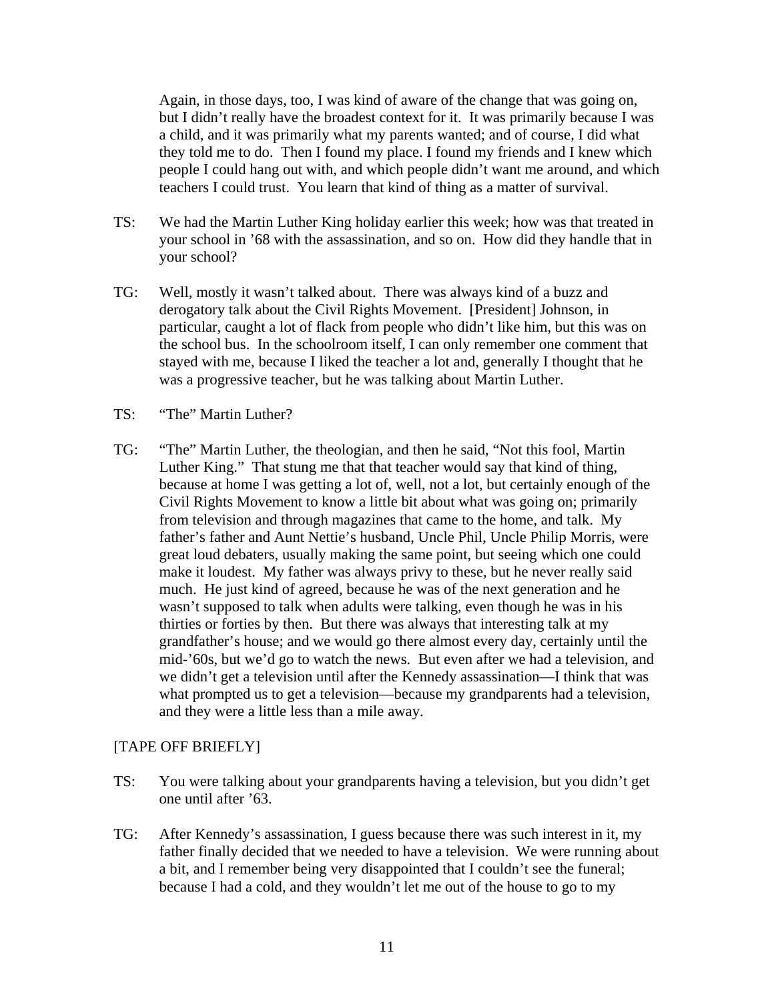Again, in those days, too, I was kind of aware of the change that was going on, but I didn't really have the broadest context for it. It was primarily because I was a child, and it was primarily what my parents wanted; and of course, I did what they told me to do. Then I found my place. I found my friends and I knew which people I could hang out with, and which people didn't want me around, and which teachers I could trust. You learn that kind of thing as a matter of survival.

- TS: We had the Martin Luther King holiday earlier this week; how was that treated in your school in '68 with the assassination, and so on. How did they handle that in your school?
- TG: Well, mostly it wasn't talked about. There was always kind of a buzz and derogatory talk about the Civil Rights Movement. [President] Johnson, in particular, caught a lot of flack from people who didn't like him, but this was on the school bus. In the schoolroom itself, I can only remember one comment that stayed with me, because I liked the teacher a lot and, generally I thought that he was a progressive teacher, but he was talking about Martin Luther.
- TS: "The" Martin Luther?
- TG: "The" Martin Luther, the theologian, and then he said, "Not this fool, Martin Luther King." That stung me that that teacher would say that kind of thing, because at home I was getting a lot of, well, not a lot, but certainly enough of the Civil Rights Movement to know a little bit about what was going on; primarily from television and through magazines that came to the home, and talk. My father's father and Aunt Nettie's husband, Uncle Phil, Uncle Philip Morris, were great loud debaters, usually making the same point, but seeing which one could make it loudest. My father was always privy to these, but he never really said much. He just kind of agreed, because he was of the next generation and he wasn't supposed to talk when adults were talking, even though he was in his thirties or forties by then. But there was always that interesting talk at my grandfather's house; and we would go there almost every day, certainly until the mid-'60s, but we'd go to watch the news. But even after we had a television, and we didn't get a television until after the Kennedy assassination—I think that was what prompted us to get a television—because my grandparents had a television, and they were a little less than a mile away.

## [TAPE OFF BRIEFLY]

- TS: You were talking about your grandparents having a television, but you didn't get one until after '63.
- TG: After Kennedy's assassination, I guess because there was such interest in it, my father finally decided that we needed to have a television. We were running about a bit, and I remember being very disappointed that I couldn't see the funeral; because I had a cold, and they wouldn't let me out of the house to go to my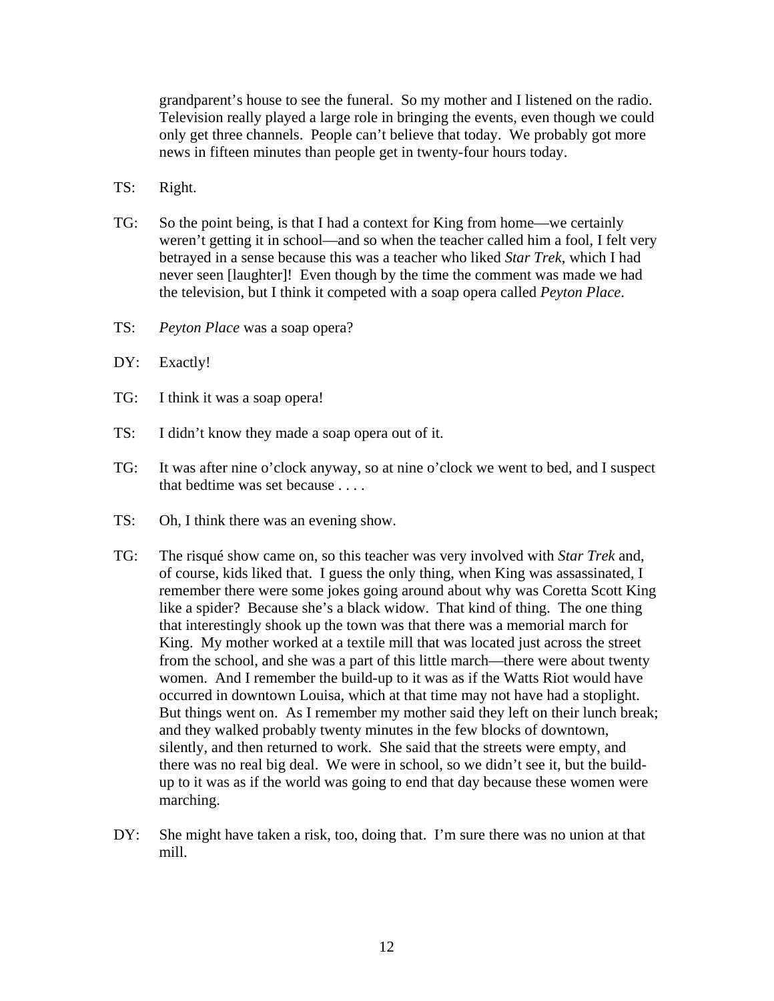grandparent's house to see the funeral. So my mother and I listened on the radio. Television really played a large role in bringing the events, even though we could only get three channels. People can't believe that today. We probably got more news in fifteen minutes than people get in twenty-four hours today.

- TS: Right.
- TG: So the point being, is that I had a context for King from home—we certainly weren't getting it in school—and so when the teacher called him a fool, I felt very betrayed in a sense because this was a teacher who liked *Star Trek*, which I had never seen [laughter]! Even though by the time the comment was made we had the television, but I think it competed with a soap opera called *Peyton Place*.
- TS: *Peyton Place* was a soap opera?
- DY: Exactly!
- TG: I think it was a soap opera!
- TS: I didn't know they made a soap opera out of it.
- TG: It was after nine o'clock anyway, so at nine o'clock we went to bed, and I suspect that bedtime was set because . . . .
- TS: Oh, I think there was an evening show.
- TG: The risqué show came on, so this teacher was very involved with *Star Trek* and, of course, kids liked that. I guess the only thing, when King was assassinated, I remember there were some jokes going around about why was Coretta Scott King like a spider? Because she's a black widow. That kind of thing. The one thing that interestingly shook up the town was that there was a memorial march for King. My mother worked at a textile mill that was located just across the street from the school, and she was a part of this little march—there were about twenty women. And I remember the build-up to it was as if the Watts Riot would have occurred in downtown Louisa, which at that time may not have had a stoplight. But things went on. As I remember my mother said they left on their lunch break; and they walked probably twenty minutes in the few blocks of downtown, silently, and then returned to work. She said that the streets were empty, and there was no real big deal. We were in school, so we didn't see it, but the buildup to it was as if the world was going to end that day because these women were marching.
- DY: She might have taken a risk, too, doing that. I'm sure there was no union at that mill.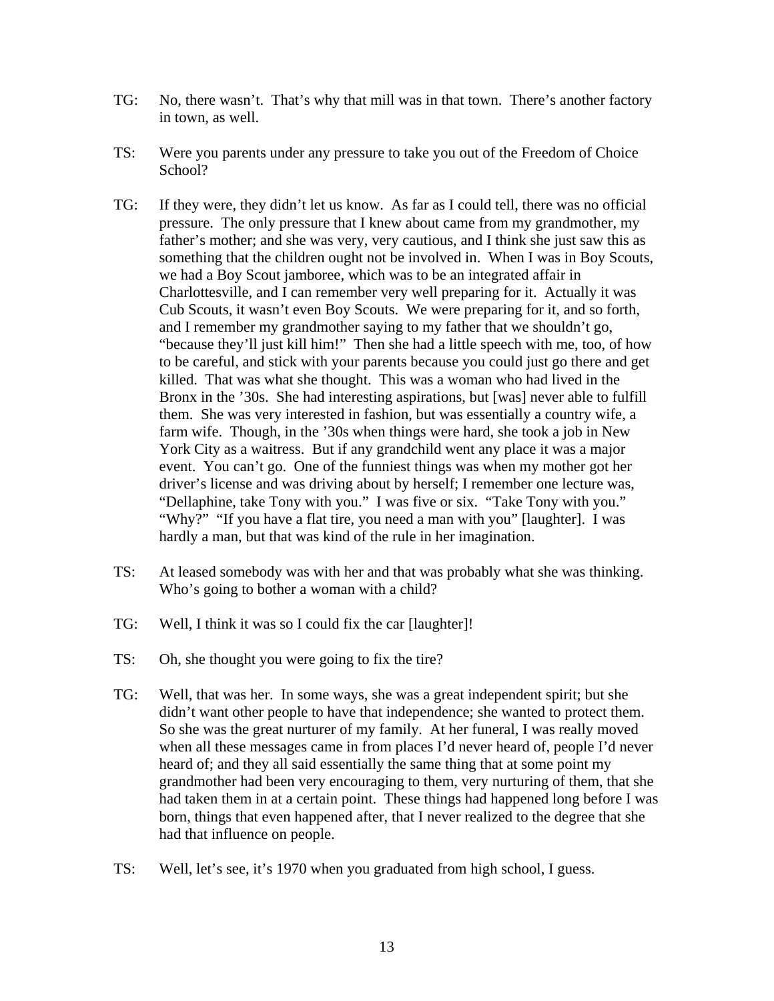- TG: No, there wasn't. That's why that mill was in that town. There's another factory in town, as well.
- TS: Were you parents under any pressure to take you out of the Freedom of Choice School?
- TG: If they were, they didn't let us know. As far as I could tell, there was no official pressure. The only pressure that I knew about came from my grandmother, my father's mother; and she was very, very cautious, and I think she just saw this as something that the children ought not be involved in. When I was in Boy Scouts, we had a Boy Scout jamboree, which was to be an integrated affair in Charlottesville, and I can remember very well preparing for it. Actually it was Cub Scouts, it wasn't even Boy Scouts. We were preparing for it, and so forth, and I remember my grandmother saying to my father that we shouldn't go, "because they'll just kill him!" Then she had a little speech with me, too, of how to be careful, and stick with your parents because you could just go there and get killed. That was what she thought. This was a woman who had lived in the Bronx in the '30s. She had interesting aspirations, but [was] never able to fulfill them. She was very interested in fashion, but was essentially a country wife, a farm wife. Though, in the '30s when things were hard, she took a job in New York City as a waitress. But if any grandchild went any place it was a major event. You can't go. One of the funniest things was when my mother got her driver's license and was driving about by herself; I remember one lecture was, "Dellaphine, take Tony with you." I was five or six. "Take Tony with you." "Why?" "If you have a flat tire, you need a man with you" [laughter]. I was hardly a man, but that was kind of the rule in her imagination.
- TS: At leased somebody was with her and that was probably what she was thinking. Who's going to bother a woman with a child?
- TG: Well, I think it was so I could fix the car [laughter]!
- TS: Oh, she thought you were going to fix the tire?
- TG: Well, that was her. In some ways, she was a great independent spirit; but she didn't want other people to have that independence; she wanted to protect them. So she was the great nurturer of my family. At her funeral, I was really moved when all these messages came in from places I'd never heard of, people I'd never heard of; and they all said essentially the same thing that at some point my grandmother had been very encouraging to them, very nurturing of them, that she had taken them in at a certain point. These things had happened long before I was born, things that even happened after, that I never realized to the degree that she had that influence on people.
- TS: Well, let's see, it's 1970 when you graduated from high school, I guess.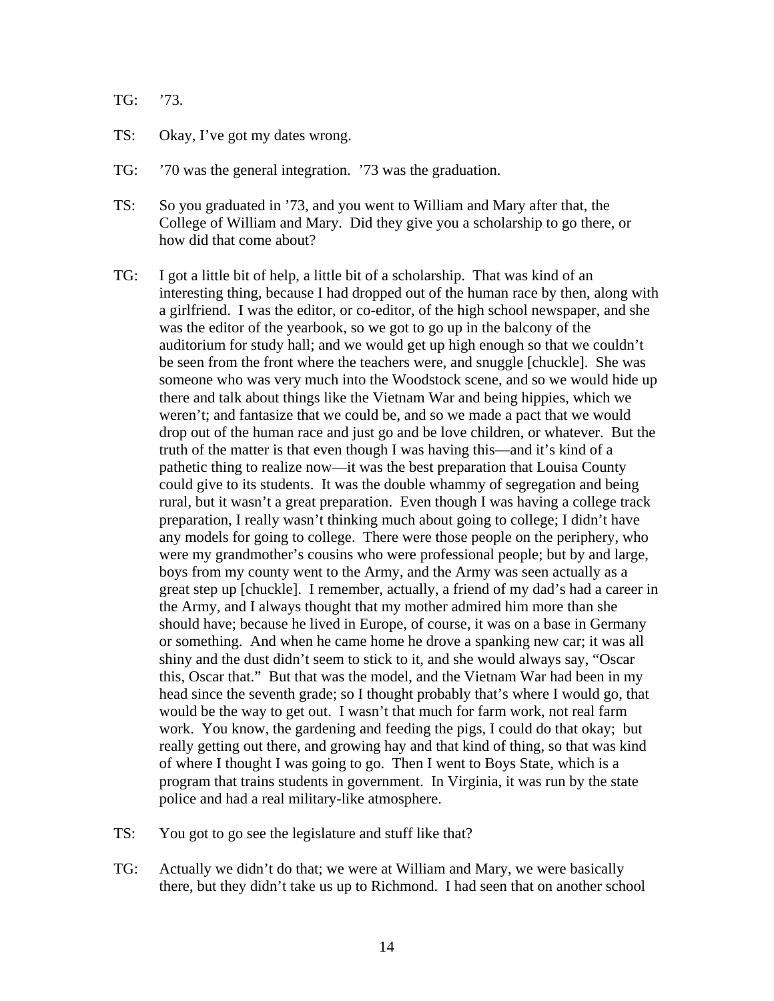- TG: '73.
- TS: Okay, I've got my dates wrong.
- TG: '70 was the general integration. '73 was the graduation.
- TS: So you graduated in '73, and you went to William and Mary after that, the College of William and Mary. Did they give you a scholarship to go there, or how did that come about?
- TG: I got a little bit of help, a little bit of a scholarship. That was kind of an interesting thing, because I had dropped out of the human race by then, along with a girlfriend. I was the editor, or co-editor, of the high school newspaper, and she was the editor of the yearbook, so we got to go up in the balcony of the auditorium for study hall; and we would get up high enough so that we couldn't be seen from the front where the teachers were, and snuggle [chuckle]. She was someone who was very much into the Woodstock scene, and so we would hide up there and talk about things like the Vietnam War and being hippies, which we weren't; and fantasize that we could be, and so we made a pact that we would drop out of the human race and just go and be love children, or whatever. But the truth of the matter is that even though I was having this—and it's kind of a pathetic thing to realize now—it was the best preparation that Louisa County could give to its students. It was the double whammy of segregation and being rural, but it wasn't a great preparation. Even though I was having a college track preparation, I really wasn't thinking much about going to college; I didn't have any models for going to college. There were those people on the periphery, who were my grandmother's cousins who were professional people; but by and large, boys from my county went to the Army, and the Army was seen actually as a great step up [chuckle]. I remember, actually, a friend of my dad's had a career in the Army, and I always thought that my mother admired him more than she should have; because he lived in Europe, of course, it was on a base in Germany or something. And when he came home he drove a spanking new car; it was all shiny and the dust didn't seem to stick to it, and she would always say, "Oscar this, Oscar that." But that was the model, and the Vietnam War had been in my head since the seventh grade; so I thought probably that's where I would go, that would be the way to get out. I wasn't that much for farm work, not real farm work. You know, the gardening and feeding the pigs, I could do that okay; but really getting out there, and growing hay and that kind of thing, so that was kind of where I thought I was going to go. Then I went to Boys State, which is a program that trains students in government. In Virginia, it was run by the state police and had a real military-like atmosphere.
- TS: You got to go see the legislature and stuff like that?
- TG: Actually we didn't do that; we were at William and Mary, we were basically there, but they didn't take us up to Richmond. I had seen that on another school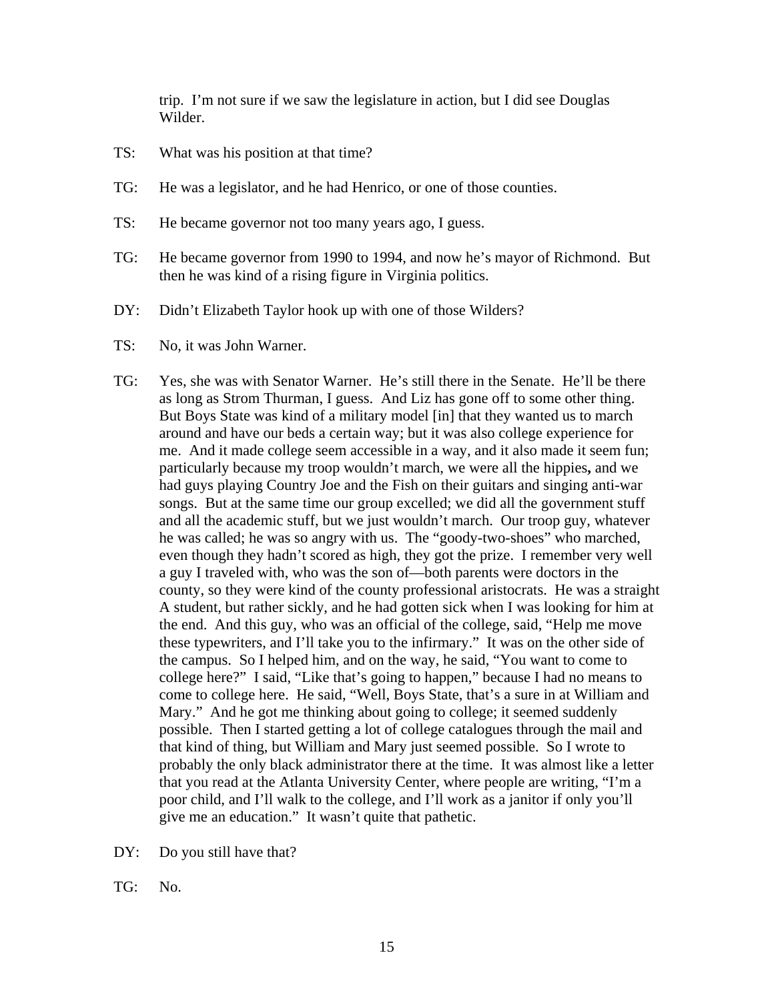trip. I'm not sure if we saw the legislature in action, but I did see Douglas Wilder.

- TS: What was his position at that time?
- TG: He was a legislator, and he had Henrico, or one of those counties.
- TS: He became governor not too many years ago, I guess.
- TG: He became governor from 1990 to 1994, and now he's mayor of Richmond. But then he was kind of a rising figure in Virginia politics.
- DY: Didn't Elizabeth Taylor hook up with one of those Wilders?
- TS: No, it was John Warner.
- TG: Yes, she was with Senator Warner. He's still there in the Senate. He'll be there as long as Strom Thurman, I guess. And Liz has gone off to some other thing. But Boys State was kind of a military model [in] that they wanted us to march around and have our beds a certain way; but it was also college experience for me. And it made college seem accessible in a way, and it also made it seem fun; particularly because my troop wouldn't march, we were all the hippies**,** and we had guys playing Country Joe and the Fish on their guitars and singing anti-war songs. But at the same time our group excelled; we did all the government stuff and all the academic stuff, but we just wouldn't march. Our troop guy, whatever he was called; he was so angry with us. The "goody-two-shoes" who marched, even though they hadn't scored as high, they got the prize. I remember very well a guy I traveled with, who was the son of—both parents were doctors in the county, so they were kind of the county professional aristocrats. He was a straight A student, but rather sickly, and he had gotten sick when I was looking for him at the end. And this guy, who was an official of the college, said, "Help me move these typewriters, and I'll take you to the infirmary." It was on the other side of the campus. So I helped him, and on the way, he said, "You want to come to college here?" I said, "Like that's going to happen," because I had no means to come to college here. He said, "Well, Boys State, that's a sure in at William and Mary." And he got me thinking about going to college; it seemed suddenly possible. Then I started getting a lot of college catalogues through the mail and that kind of thing, but William and Mary just seemed possible. So I wrote to probably the only black administrator there at the time. It was almost like a letter that you read at the Atlanta University Center, where people are writing, "I'm a poor child, and I'll walk to the college, and I'll work as a janitor if only you'll give me an education." It wasn't quite that pathetic.
- DY: Do you still have that?
- TG: No.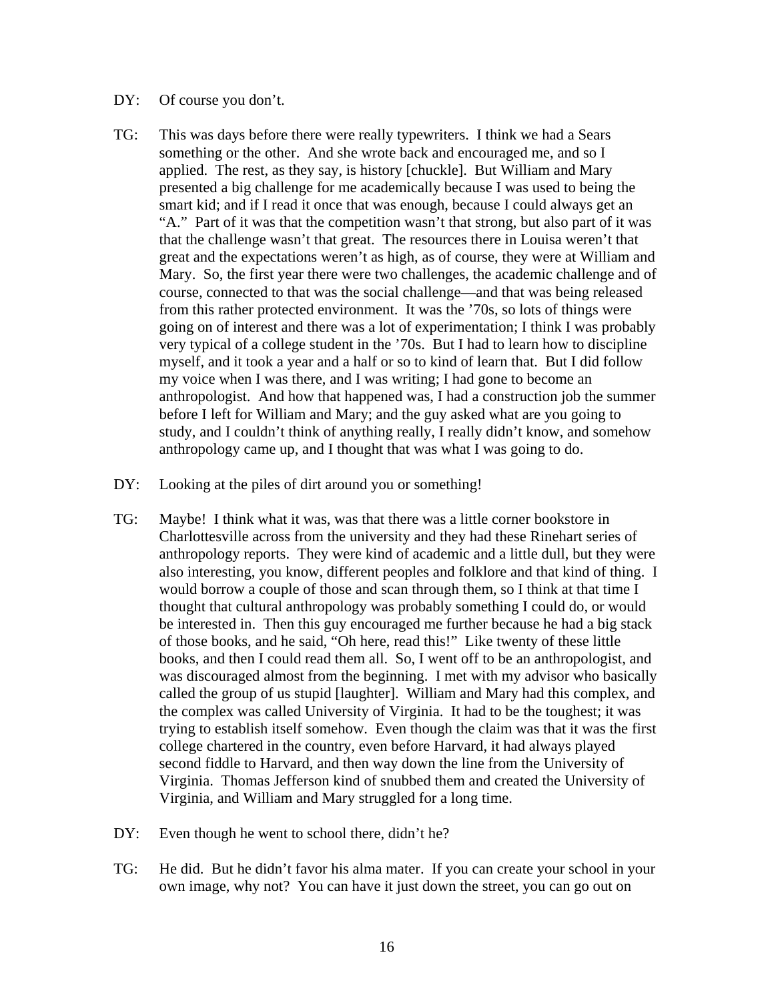## DY: Of course you don't.

- TG: This was days before there were really typewriters. I think we had a Sears something or the other. And she wrote back and encouraged me, and so I applied. The rest, as they say, is history [chuckle]. But William and Mary presented a big challenge for me academically because I was used to being the smart kid; and if I read it once that was enough, because I could always get an "A." Part of it was that the competition wasn't that strong, but also part of it was that the challenge wasn't that great. The resources there in Louisa weren't that great and the expectations weren't as high, as of course, they were at William and Mary. So, the first year there were two challenges, the academic challenge and of course, connected to that was the social challenge—and that was being released from this rather protected environment. It was the '70s, so lots of things were going on of interest and there was a lot of experimentation; I think I was probably very typical of a college student in the '70s. But I had to learn how to discipline myself, and it took a year and a half or so to kind of learn that. But I did follow my voice when I was there, and I was writing; I had gone to become an anthropologist. And how that happened was, I had a construction job the summer before I left for William and Mary; and the guy asked what are you going to study, and I couldn't think of anything really, I really didn't know, and somehow anthropology came up, and I thought that was what I was going to do.
- DY: Looking at the piles of dirt around you or something!
- TG: Maybe! I think what it was, was that there was a little corner bookstore in Charlottesville across from the university and they had these Rinehart series of anthropology reports. They were kind of academic and a little dull, but they were also interesting, you know, different peoples and folklore and that kind of thing. I would borrow a couple of those and scan through them, so I think at that time I thought that cultural anthropology was probably something I could do, or would be interested in. Then this guy encouraged me further because he had a big stack of those books, and he said, "Oh here, read this!" Like twenty of these little books, and then I could read them all. So, I went off to be an anthropologist, and was discouraged almost from the beginning. I met with my advisor who basically called the group of us stupid [laughter]. William and Mary had this complex, and the complex was called University of Virginia. It had to be the toughest; it was trying to establish itself somehow. Even though the claim was that it was the first college chartered in the country, even before Harvard, it had always played second fiddle to Harvard, and then way down the line from the University of Virginia. Thomas Jefferson kind of snubbed them and created the University of Virginia, and William and Mary struggled for a long time.
- DY: Even though he went to school there, didn't he?
- TG: He did. But he didn't favor his alma mater. If you can create your school in your own image, why not? You can have it just down the street, you can go out on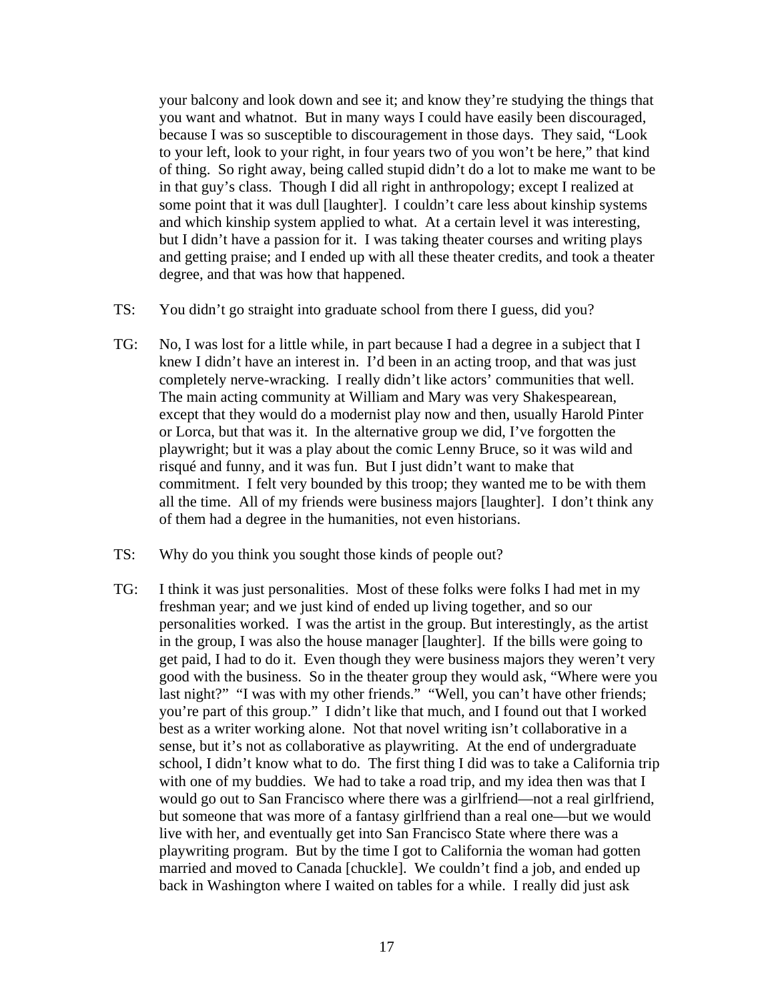your balcony and look down and see it; and know they're studying the things that you want and whatnot. But in many ways I could have easily been discouraged, because I was so susceptible to discouragement in those days. They said, "Look to your left, look to your right, in four years two of you won't be here," that kind of thing. So right away, being called stupid didn't do a lot to make me want to be in that guy's class. Though I did all right in anthropology; except I realized at some point that it was dull [laughter]. I couldn't care less about kinship systems and which kinship system applied to what. At a certain level it was interesting, but I didn't have a passion for it. I was taking theater courses and writing plays and getting praise; and I ended up with all these theater credits, and took a theater degree, and that was how that happened.

- TS: You didn't go straight into graduate school from there I guess, did you?
- TG: No, I was lost for a little while, in part because I had a degree in a subject that I knew I didn't have an interest in. I'd been in an acting troop, and that was just completely nerve-wracking. I really didn't like actors' communities that well. The main acting community at William and Mary was very Shakespearean, except that they would do a modernist play now and then, usually Harold Pinter or Lorca, but that was it. In the alternative group we did, I've forgotten the playwright; but it was a play about the comic Lenny Bruce, so it was wild and risqué and funny, and it was fun. But I just didn't want to make that commitment. I felt very bounded by this troop; they wanted me to be with them all the time. All of my friends were business majors [laughter]. I don't think any of them had a degree in the humanities, not even historians.
- TS: Why do you think you sought those kinds of people out?
- TG: I think it was just personalities. Most of these folks were folks I had met in my freshman year; and we just kind of ended up living together, and so our personalities worked. I was the artist in the group. But interestingly, as the artist in the group, I was also the house manager [laughter]. If the bills were going to get paid, I had to do it. Even though they were business majors they weren't very good with the business. So in the theater group they would ask, "Where were you last night?" "I was with my other friends." "Well, you can't have other friends; you're part of this group." I didn't like that much, and I found out that I worked best as a writer working alone. Not that novel writing isn't collaborative in a sense, but it's not as collaborative as playwriting. At the end of undergraduate school, I didn't know what to do. The first thing I did was to take a California trip with one of my buddies. We had to take a road trip, and my idea then was that I would go out to San Francisco where there was a girlfriend—not a real girlfriend, but someone that was more of a fantasy girlfriend than a real one—but we would live with her, and eventually get into San Francisco State where there was a playwriting program. But by the time I got to California the woman had gotten married and moved to Canada [chuckle]. We couldn't find a job, and ended up back in Washington where I waited on tables for a while. I really did just ask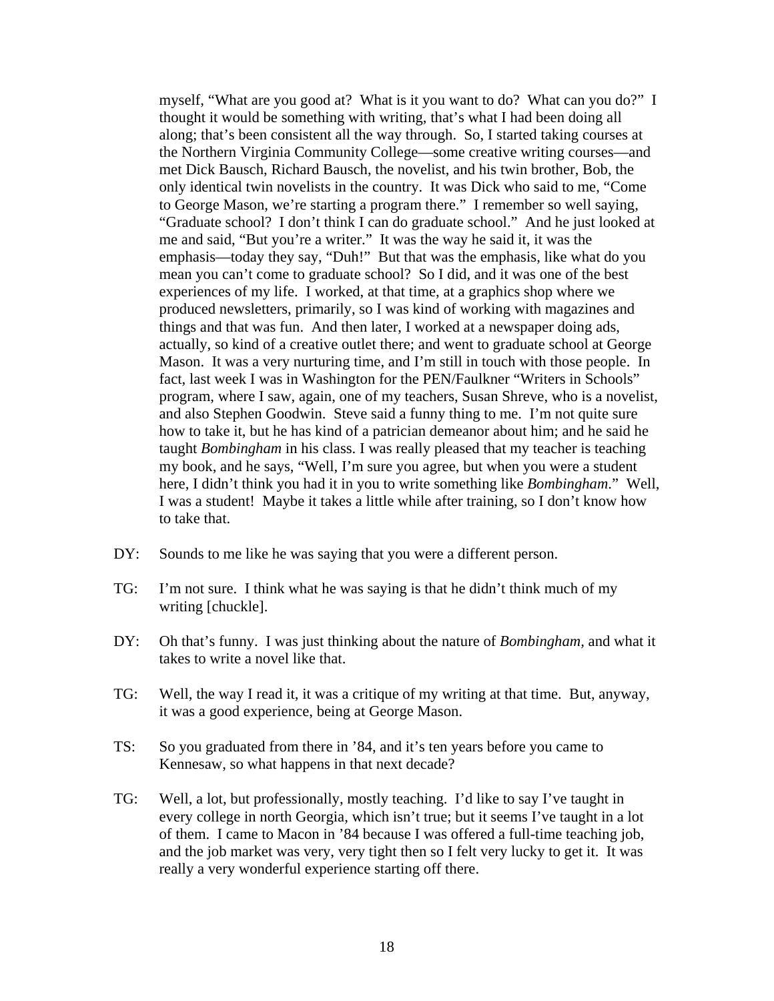myself, "What are you good at? What is it you want to do? What can you do?" I thought it would be something with writing, that's what I had been doing all along; that's been consistent all the way through. So, I started taking courses at the Northern Virginia Community College—some creative writing courses—and met Dick Bausch, Richard Bausch, the novelist, and his twin brother, Bob, the only identical twin novelists in the country. It was Dick who said to me, "Come to George Mason, we're starting a program there." I remember so well saying, "Graduate school? I don't think I can do graduate school." And he just looked at me and said, "But you're a writer." It was the way he said it, it was the emphasis—today they say, "Duh!" But that was the emphasis, like what do you mean you can't come to graduate school? So I did, and it was one of the best experiences of my life. I worked, at that time, at a graphics shop where we produced newsletters, primarily, so I was kind of working with magazines and things and that was fun. And then later, I worked at a newspaper doing ads, actually, so kind of a creative outlet there; and went to graduate school at George Mason. It was a very nurturing time, and I'm still in touch with those people. In fact, last week I was in Washington for the PEN/Faulkner "Writers in Schools" program, where I saw, again, one of my teachers, Susan Shreve, who is a novelist, and also Stephen Goodwin. Steve said a funny thing to me. I'm not quite sure how to take it, but he has kind of a patrician demeanor about him; and he said he taught *Bombingham* in his class. I was really pleased that my teacher is teaching my book, and he says, "Well, I'm sure you agree, but when you were a student here, I didn't think you had it in you to write something like *Bombingham*." Well, I was a student! Maybe it takes a little while after training, so I don't know how to take that.

- DY: Sounds to me like he was saying that you were a different person.
- TG: I'm not sure. I think what he was saying is that he didn't think much of my writing [chuckle].
- DY: Oh that's funny. I was just thinking about the nature of *Bombingham,* and what it takes to write a novel like that.
- TG: Well, the way I read it, it was a critique of my writing at that time. But, anyway, it was a good experience, being at George Mason.
- TS: So you graduated from there in '84, and it's ten years before you came to Kennesaw, so what happens in that next decade?
- TG: Well, a lot, but professionally, mostly teaching. I'd like to say I've taught in every college in north Georgia, which isn't true; but it seems I've taught in a lot of them. I came to Macon in '84 because I was offered a full-time teaching job, and the job market was very, very tight then so I felt very lucky to get it. It was really a very wonderful experience starting off there.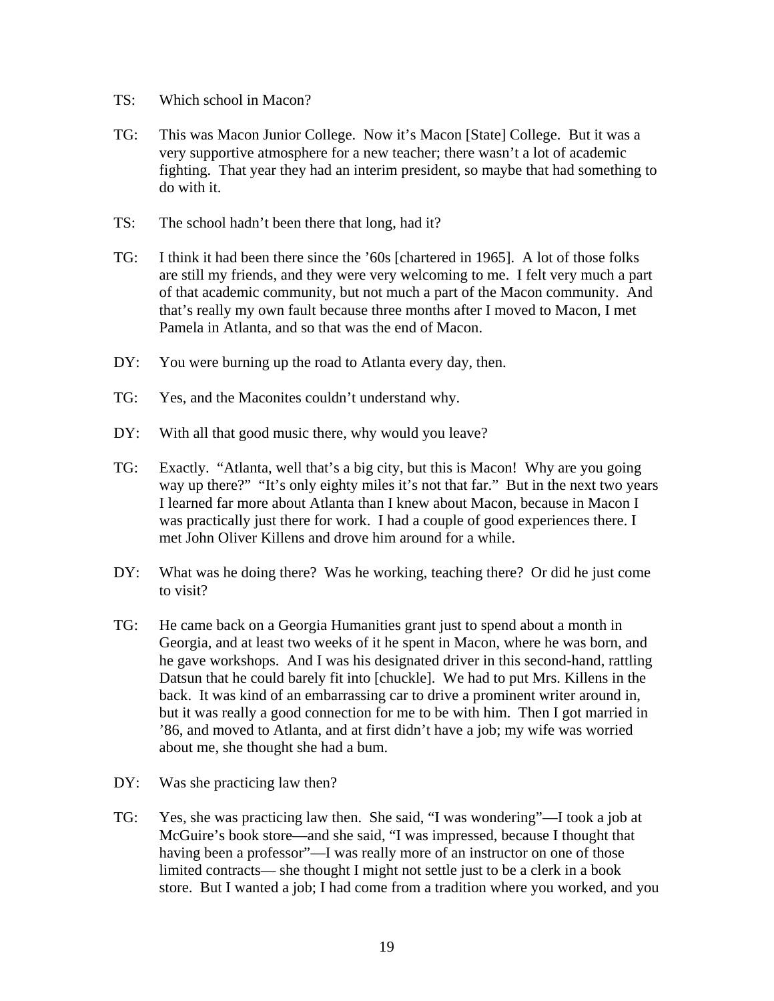- TS: Which school in Macon?
- TG: This was Macon Junior College. Now it's Macon [State] College. But it was a very supportive atmosphere for a new teacher; there wasn't a lot of academic fighting. That year they had an interim president, so maybe that had something to do with it.
- TS: The school hadn't been there that long, had it?
- TG: I think it had been there since the '60s [chartered in 1965]. A lot of those folks are still my friends, and they were very welcoming to me. I felt very much a part of that academic community, but not much a part of the Macon community. And that's really my own fault because three months after I moved to Macon, I met Pamela in Atlanta, and so that was the end of Macon.
- DY: You were burning up the road to Atlanta every day, then.
- TG: Yes, and the Maconites couldn't understand why.
- DY: With all that good music there, why would you leave?
- TG: Exactly. "Atlanta, well that's a big city, but this is Macon! Why are you going way up there?" "It's only eighty miles it's not that far." But in the next two years I learned far more about Atlanta than I knew about Macon, because in Macon I was practically just there for work. I had a couple of good experiences there. I met John Oliver Killens and drove him around for a while.
- DY: What was he doing there? Was he working, teaching there? Or did he just come to visit?
- TG: He came back on a Georgia Humanities grant just to spend about a month in Georgia, and at least two weeks of it he spent in Macon, where he was born, and he gave workshops. And I was his designated driver in this second-hand, rattling Datsun that he could barely fit into [chuckle]. We had to put Mrs. Killens in the back. It was kind of an embarrassing car to drive a prominent writer around in, but it was really a good connection for me to be with him. Then I got married in '86, and moved to Atlanta, and at first didn't have a job; my wife was worried about me, she thought she had a bum.
- DY: Was she practicing law then?
- TG: Yes, she was practicing law then. She said, "I was wondering"—I took a job at McGuire's book store—and she said, "I was impressed, because I thought that having been a professor"—I was really more of an instructor on one of those limited contracts— she thought I might not settle just to be a clerk in a book store. But I wanted a job; I had come from a tradition where you worked, and you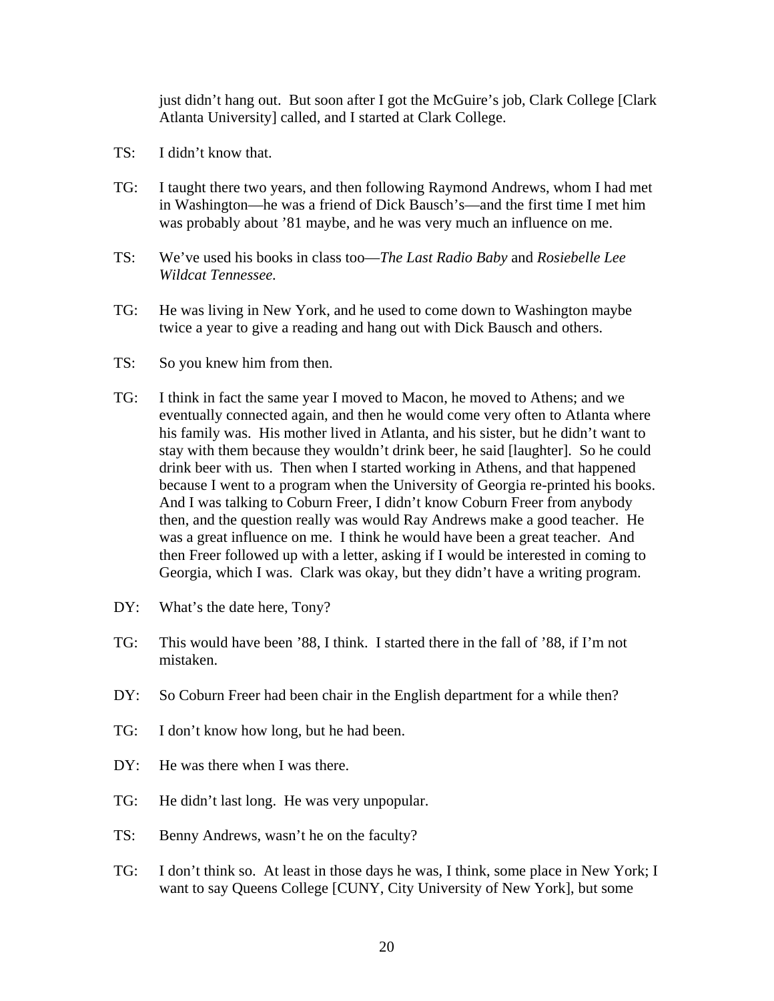just didn't hang out. But soon after I got the McGuire's job, Clark College [Clark Atlanta University] called, and I started at Clark College.

- TS: I didn't know that.
- TG: I taught there two years, and then following Raymond Andrews, whom I had met in Washington—he was a friend of Dick Bausch's—and the first time I met him was probably about '81 maybe, and he was very much an influence on me.
- TS: We've used his books in class too—*The Last Radio Baby* and *Rosiebelle Lee Wildcat Tennessee.*
- TG: He was living in New York, and he used to come down to Washington maybe twice a year to give a reading and hang out with Dick Bausch and others.
- TS: So you knew him from then.
- TG: I think in fact the same year I moved to Macon, he moved to Athens; and we eventually connected again, and then he would come very often to Atlanta where his family was. His mother lived in Atlanta, and his sister, but he didn't want to stay with them because they wouldn't drink beer, he said [laughter]. So he could drink beer with us. Then when I started working in Athens, and that happened because I went to a program when the University of Georgia re-printed his books. And I was talking to Coburn Freer, I didn't know Coburn Freer from anybody then, and the question really was would Ray Andrews make a good teacher. He was a great influence on me. I think he would have been a great teacher. And then Freer followed up with a letter, asking if I would be interested in coming to Georgia, which I was. Clark was okay, but they didn't have a writing program.
- DY: What's the date here, Tony?
- TG: This would have been '88, I think. I started there in the fall of '88, if I'm not mistaken.
- DY: So Coburn Freer had been chair in the English department for a while then?
- TG: I don't know how long, but he had been.
- DY: He was there when I was there.
- TG: He didn't last long. He was very unpopular.
- TS: Benny Andrews, wasn't he on the faculty?
- TG: I don't think so. At least in those days he was, I think, some place in New York; I want to say Queens College [CUNY, City University of New York], but some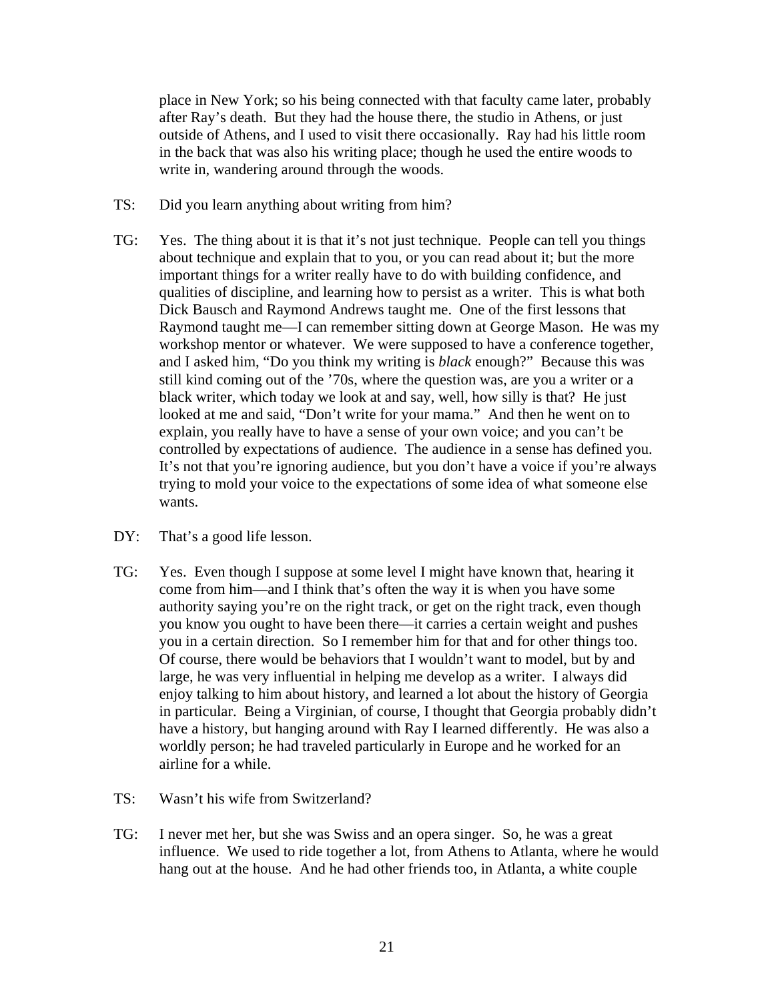place in New York; so his being connected with that faculty came later, probably after Ray's death. But they had the house there, the studio in Athens, or just outside of Athens, and I used to visit there occasionally. Ray had his little room in the back that was also his writing place; though he used the entire woods to write in, wandering around through the woods.

- TS: Did you learn anything about writing from him?
- TG: Yes. The thing about it is that it's not just technique. People can tell you things about technique and explain that to you, or you can read about it; but the more important things for a writer really have to do with building confidence, and qualities of discipline, and learning how to persist as a writer. This is what both Dick Bausch and Raymond Andrews taught me. One of the first lessons that Raymond taught me—I can remember sitting down at George Mason. He was my workshop mentor or whatever. We were supposed to have a conference together, and I asked him, "Do you think my writing is *black* enough?" Because this was still kind coming out of the '70s, where the question was, are you a writer or a black writer, which today we look at and say, well, how silly is that? He just looked at me and said, "Don't write for your mama." And then he went on to explain, you really have to have a sense of your own voice; and you can't be controlled by expectations of audience. The audience in a sense has defined you. It's not that you're ignoring audience, but you don't have a voice if you're always trying to mold your voice to the expectations of some idea of what someone else wants.
- DY: That's a good life lesson.
- TG: Yes. Even though I suppose at some level I might have known that, hearing it come from him—and I think that's often the way it is when you have some authority saying you're on the right track, or get on the right track, even though you know you ought to have been there—it carries a certain weight and pushes you in a certain direction. So I remember him for that and for other things too. Of course, there would be behaviors that I wouldn't want to model, but by and large, he was very influential in helping me develop as a writer. I always did enjoy talking to him about history, and learned a lot about the history of Georgia in particular. Being a Virginian, of course, I thought that Georgia probably didn't have a history, but hanging around with Ray I learned differently. He was also a worldly person; he had traveled particularly in Europe and he worked for an airline for a while.
- TS: Wasn't his wife from Switzerland?
- TG: I never met her, but she was Swiss and an opera singer. So, he was a great influence. We used to ride together a lot, from Athens to Atlanta, where he would hang out at the house. And he had other friends too, in Atlanta, a white couple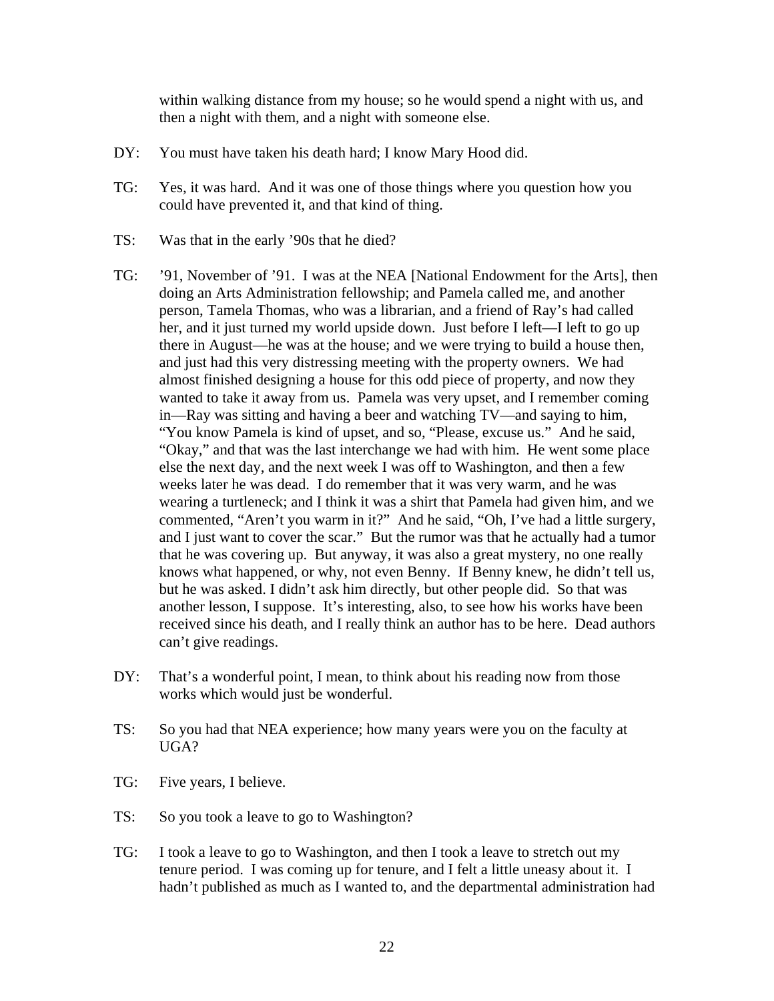within walking distance from my house; so he would spend a night with us, and then a night with them, and a night with someone else.

- DY: You must have taken his death hard; I know Mary Hood did.
- TG: Yes, it was hard. And it was one of those things where you question how you could have prevented it, and that kind of thing.
- TS: Was that in the early '90s that he died?
- TG: '91, November of '91. I was at the NEA [National Endowment for the Arts], then doing an Arts Administration fellowship; and Pamela called me, and another person, Tamela Thomas, who was a librarian, and a friend of Ray's had called her, and it just turned my world upside down. Just before I left—I left to go up there in August—he was at the house; and we were trying to build a house then, and just had this very distressing meeting with the property owners. We had almost finished designing a house for this odd piece of property, and now they wanted to take it away from us. Pamela was very upset, and I remember coming in—Ray was sitting and having a beer and watching TV—and saying to him, "You know Pamela is kind of upset, and so, "Please, excuse us." And he said, "Okay," and that was the last interchange we had with him. He went some place else the next day, and the next week I was off to Washington, and then a few weeks later he was dead. I do remember that it was very warm, and he was wearing a turtleneck; and I think it was a shirt that Pamela had given him, and we commented, "Aren't you warm in it?" And he said, "Oh, I've had a little surgery, and I just want to cover the scar." But the rumor was that he actually had a tumor that he was covering up. But anyway, it was also a great mystery, no one really knows what happened, or why, not even Benny. If Benny knew, he didn't tell us, but he was asked. I didn't ask him directly, but other people did. So that was another lesson, I suppose. It's interesting, also, to see how his works have been received since his death, and I really think an author has to be here. Dead authors can't give readings.
- DY: That's a wonderful point, I mean, to think about his reading now from those works which would just be wonderful.
- TS: So you had that NEA experience; how many years were you on the faculty at UGA?
- TG: Five years, I believe.
- TS: So you took a leave to go to Washington?
- TG: I took a leave to go to Washington, and then I took a leave to stretch out my tenure period. I was coming up for tenure, and I felt a little uneasy about it. I hadn't published as much as I wanted to, and the departmental administration had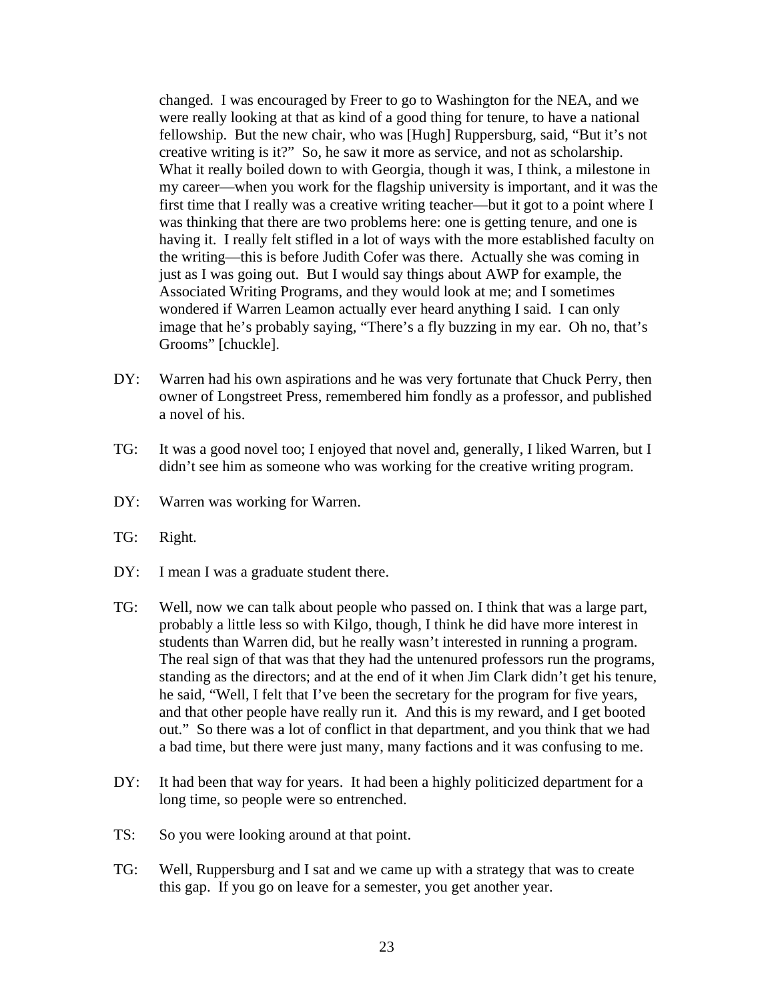changed. I was encouraged by Freer to go to Washington for the NEA, and we were really looking at that as kind of a good thing for tenure, to have a national fellowship. But the new chair, who was [Hugh] Ruppersburg, said, "But it's not creative writing is it?" So, he saw it more as service, and not as scholarship. What it really boiled down to with Georgia, though it was, I think, a milestone in my career—when you work for the flagship university is important, and it was the first time that I really was a creative writing teacher—but it got to a point where I was thinking that there are two problems here: one is getting tenure, and one is having it. I really felt stifled in a lot of ways with the more established faculty on the writing—this is before Judith Cofer was there. Actually she was coming in just as I was going out. But I would say things about AWP for example, the Associated Writing Programs, and they would look at me; and I sometimes wondered if Warren Leamon actually ever heard anything I said. I can only image that he's probably saying, "There's a fly buzzing in my ear. Oh no, that's Grooms" [chuckle].

- DY: Warren had his own aspirations and he was very fortunate that Chuck Perry, then owner of Longstreet Press, remembered him fondly as a professor, and published a novel of his.
- TG: It was a good novel too; I enjoyed that novel and, generally, I liked Warren, but I didn't see him as someone who was working for the creative writing program.
- DY: Warren was working for Warren.
- TG: Right.
- DY: I mean I was a graduate student there.
- TG: Well, now we can talk about people who passed on. I think that was a large part, probably a little less so with Kilgo, though, I think he did have more interest in students than Warren did, but he really wasn't interested in running a program. The real sign of that was that they had the untenured professors run the programs, standing as the directors; and at the end of it when Jim Clark didn't get his tenure, he said, "Well, I felt that I've been the secretary for the program for five years, and that other people have really run it. And this is my reward, and I get booted out." So there was a lot of conflict in that department, and you think that we had a bad time, but there were just many, many factions and it was confusing to me.
- DY: It had been that way for years. It had been a highly politicized department for a long time, so people were so entrenched.
- TS: So you were looking around at that point.
- TG: Well, Ruppersburg and I sat and we came up with a strategy that was to create this gap. If you go on leave for a semester, you get another year.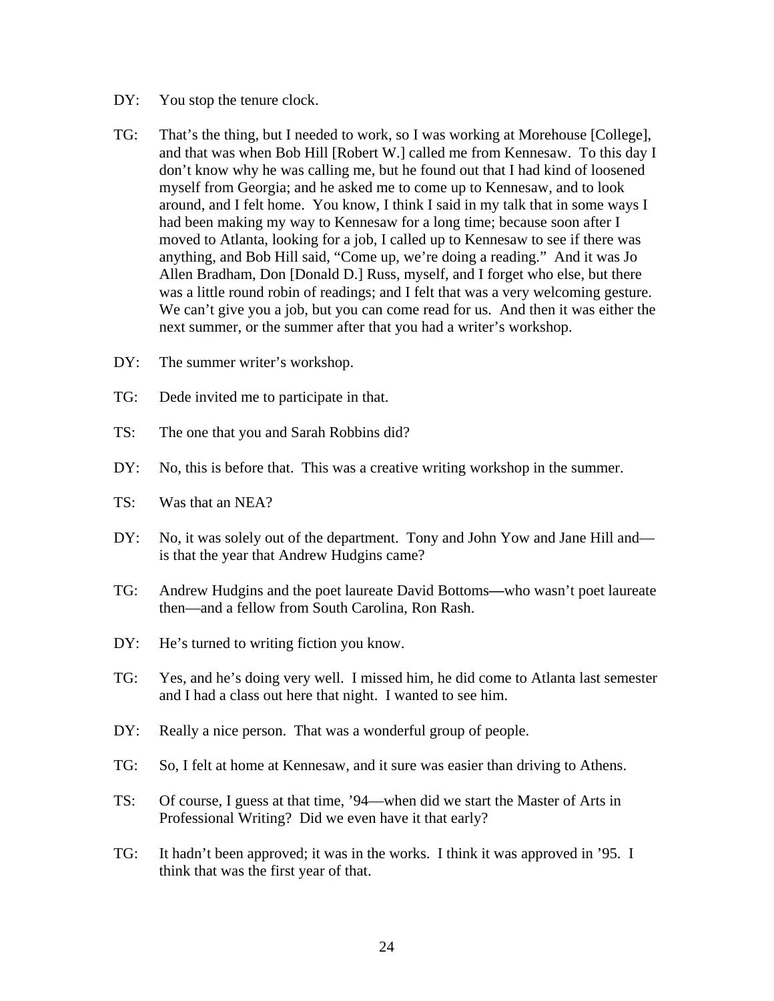- DY: You stop the tenure clock.
- TG: That's the thing, but I needed to work, so I was working at Morehouse [College], and that was when Bob Hill [Robert W.] called me from Kennesaw. To this day I don't know why he was calling me, but he found out that I had kind of loosened myself from Georgia; and he asked me to come up to Kennesaw, and to look around, and I felt home. You know, I think I said in my talk that in some ways I had been making my way to Kennesaw for a long time; because soon after I moved to Atlanta, looking for a job, I called up to Kennesaw to see if there was anything, and Bob Hill said, "Come up, we're doing a reading." And it was Jo Allen Bradham, Don [Donald D.] Russ, myself, and I forget who else, but there was a little round robin of readings; and I felt that was a very welcoming gesture. We can't give you a job, but you can come read for us. And then it was either the next summer, or the summer after that you had a writer's workshop.
- DY: The summer writer's workshop.
- TG: Dede invited me to participate in that.
- TS: The one that you and Sarah Robbins did?
- DY: No, this is before that. This was a creative writing workshop in the summer.
- TS: Was that an NEA?
- DY: No, it was solely out of the department. Tony and John Yow and Jane Hill and is that the year that Andrew Hudgins came?
- TG: Andrew Hudgins and the poet laureate David Bottoms**—**who wasn't poet laureate then—and a fellow from South Carolina, Ron Rash.
- DY: He's turned to writing fiction you know.
- TG: Yes, and he's doing very well. I missed him, he did come to Atlanta last semester and I had a class out here that night. I wanted to see him.
- DY: Really a nice person. That was a wonderful group of people.
- TG: So, I felt at home at Kennesaw, and it sure was easier than driving to Athens.
- TS: Of course, I guess at that time, '94—when did we start the Master of Arts in Professional Writing? Did we even have it that early?
- TG: It hadn't been approved; it was in the works. I think it was approved in '95. I think that was the first year of that.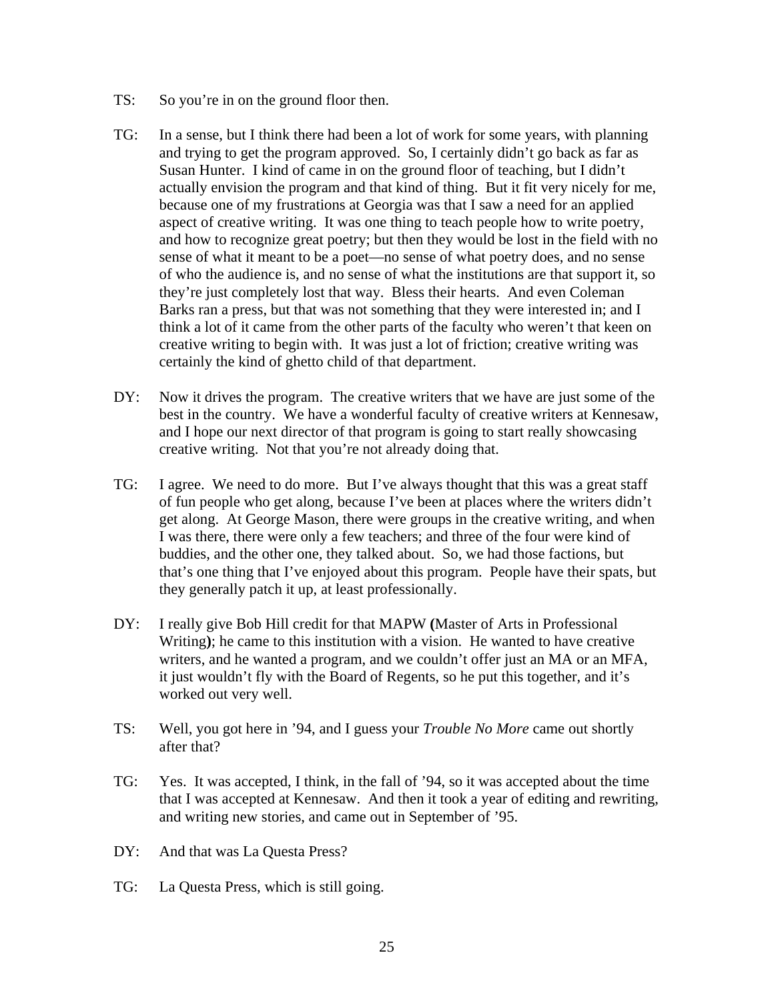- TS: So you're in on the ground floor then.
- TG: In a sense, but I think there had been a lot of work for some years, with planning and trying to get the program approved. So, I certainly didn't go back as far as Susan Hunter. I kind of came in on the ground floor of teaching, but I didn't actually envision the program and that kind of thing. But it fit very nicely for me, because one of my frustrations at Georgia was that I saw a need for an applied aspect of creative writing. It was one thing to teach people how to write poetry, and how to recognize great poetry; but then they would be lost in the field with no sense of what it meant to be a poet—no sense of what poetry does, and no sense of who the audience is, and no sense of what the institutions are that support it, so they're just completely lost that way. Bless their hearts. And even Coleman Barks ran a press, but that was not something that they were interested in; and I think a lot of it came from the other parts of the faculty who weren't that keen on creative writing to begin with. It was just a lot of friction; creative writing was certainly the kind of ghetto child of that department.
- DY: Now it drives the program. The creative writers that we have are just some of the best in the country. We have a wonderful faculty of creative writers at Kennesaw, and I hope our next director of that program is going to start really showcasing creative writing. Not that you're not already doing that.
- TG: I agree. We need to do more. But I've always thought that this was a great staff of fun people who get along, because I've been at places where the writers didn't get along. At George Mason, there were groups in the creative writing, and when I was there, there were only a few teachers; and three of the four were kind of buddies, and the other one, they talked about. So, we had those factions, but that's one thing that I've enjoyed about this program. People have their spats, but they generally patch it up, at least professionally.
- DY: I really give Bob Hill credit for that MAPW **(**Master of Arts in Professional Writing**)**; he came to this institution with a vision. He wanted to have creative writers, and he wanted a program, and we couldn't offer just an MA or an MFA, it just wouldn't fly with the Board of Regents, so he put this together, and it's worked out very well.
- TS: Well, you got here in '94, and I guess your *Trouble No More* came out shortly after that?
- TG: Yes. It was accepted, I think, in the fall of '94, so it was accepted about the time that I was accepted at Kennesaw. And then it took a year of editing and rewriting, and writing new stories, and came out in September of '95.
- DY: And that was La Questa Press?
- TG: La Questa Press, which is still going.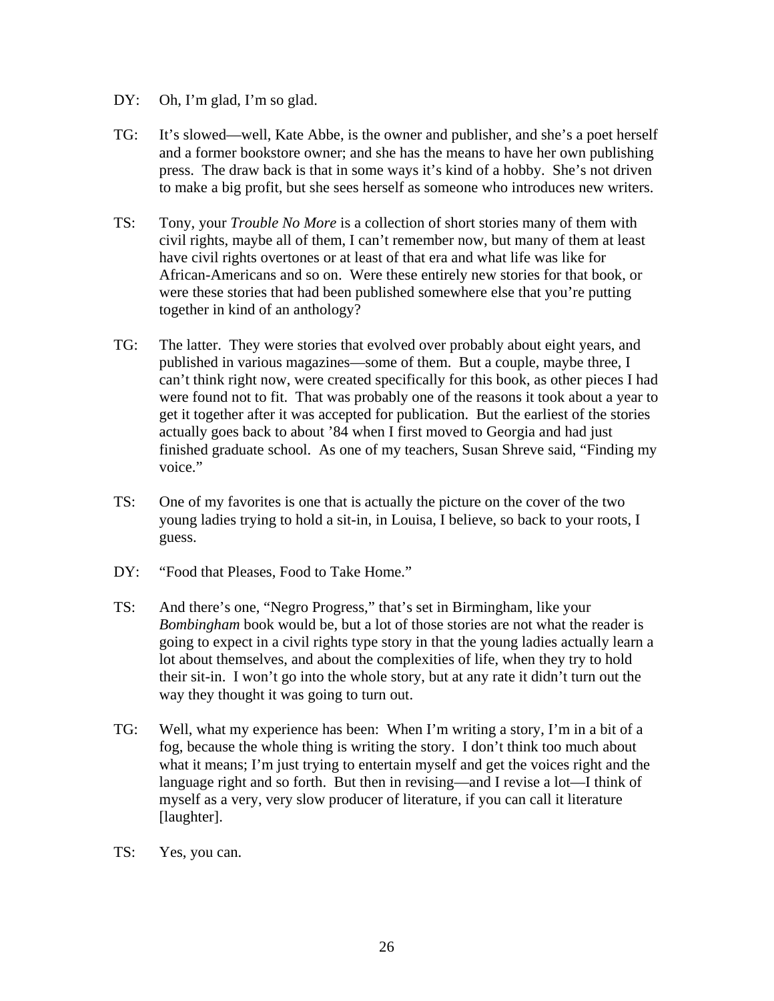- DY: Oh, I'm glad, I'm so glad.
- TG: It's slowed—well, Kate Abbe, is the owner and publisher, and she's a poet herself and a former bookstore owner; and she has the means to have her own publishing press. The draw back is that in some ways it's kind of a hobby. She's not driven to make a big profit, but she sees herself as someone who introduces new writers.
- TS: Tony, your *Trouble No More* is a collection of short stories many of them with civil rights, maybe all of them, I can't remember now, but many of them at least have civil rights overtones or at least of that era and what life was like for African-Americans and so on. Were these entirely new stories for that book, or were these stories that had been published somewhere else that you're putting together in kind of an anthology?
- TG: The latter. They were stories that evolved over probably about eight years, and published in various magazines—some of them. But a couple, maybe three, I can't think right now, were created specifically for this book, as other pieces I had were found not to fit. That was probably one of the reasons it took about a year to get it together after it was accepted for publication. But the earliest of the stories actually goes back to about '84 when I first moved to Georgia and had just finished graduate school. As one of my teachers, Susan Shreve said, "Finding my voice."
- TS: One of my favorites is one that is actually the picture on the cover of the two young ladies trying to hold a sit-in, in Louisa, I believe, so back to your roots, I guess.
- DY: "Food that Pleases, Food to Take Home."
- TS: And there's one, "Negro Progress," that's set in Birmingham, like your *Bombingham* book would be, but a lot of those stories are not what the reader is going to expect in a civil rights type story in that the young ladies actually learn a lot about themselves, and about the complexities of life, when they try to hold their sit-in. I won't go into the whole story, but at any rate it didn't turn out the way they thought it was going to turn out.
- TG: Well, what my experience has been: When I'm writing a story, I'm in a bit of a fog, because the whole thing is writing the story. I don't think too much about what it means; I'm just trying to entertain myself and get the voices right and the language right and so forth. But then in revising—and I revise a lot—I think of myself as a very, very slow producer of literature, if you can call it literature [laughter].
- TS: Yes, you can.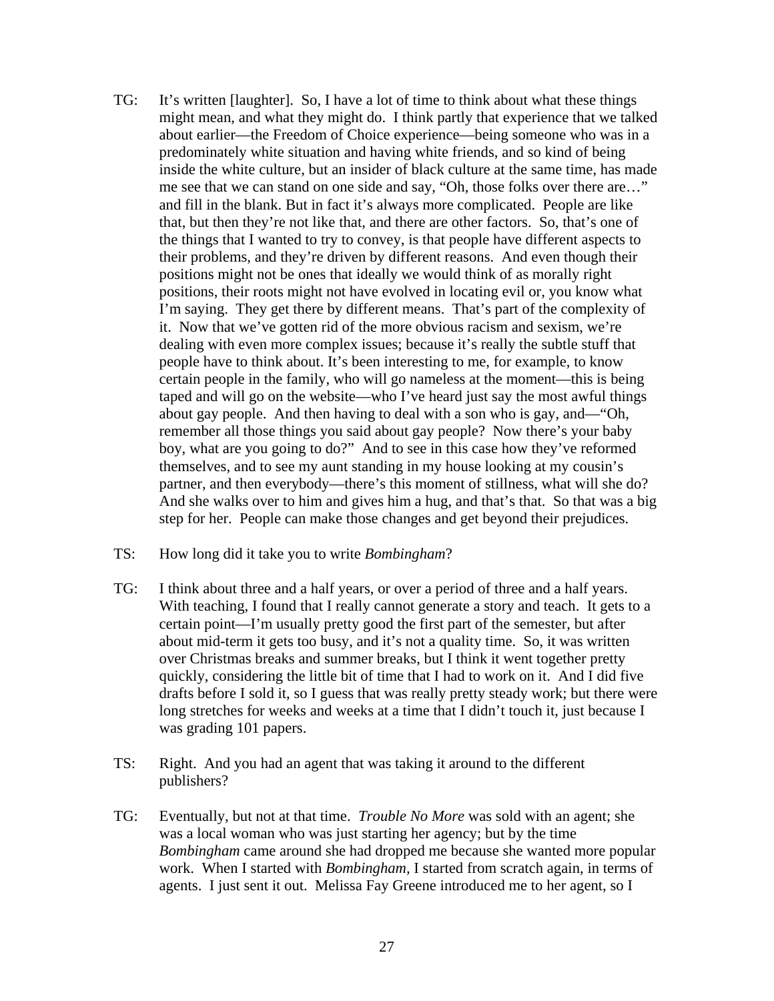- TG: It's written [laughter]. So, I have a lot of time to think about what these things might mean, and what they might do. I think partly that experience that we talked about earlier—the Freedom of Choice experience—being someone who was in a predominately white situation and having white friends, and so kind of being inside the white culture, but an insider of black culture at the same time, has made me see that we can stand on one side and say, "Oh, those folks over there are…" and fill in the blank. But in fact it's always more complicated. People are like that, but then they're not like that, and there are other factors. So, that's one of the things that I wanted to try to convey, is that people have different aspects to their problems, and they're driven by different reasons. And even though their positions might not be ones that ideally we would think of as morally right positions, their roots might not have evolved in locating evil or, you know what I'm saying. They get there by different means. That's part of the complexity of it. Now that we've gotten rid of the more obvious racism and sexism, we're dealing with even more complex issues; because it's really the subtle stuff that people have to think about. It's been interesting to me, for example, to know certain people in the family, who will go nameless at the moment—this is being taped and will go on the website—who I've heard just say the most awful things about gay people. And then having to deal with a son who is gay, and—"Oh, remember all those things you said about gay people? Now there's your baby boy, what are you going to do?" And to see in this case how they've reformed themselves, and to see my aunt standing in my house looking at my cousin's partner, and then everybody—there's this moment of stillness, what will she do? And she walks over to him and gives him a hug, and that's that. So that was a big step for her. People can make those changes and get beyond their prejudices.
- TS: How long did it take you to write *Bombingham*?
- TG: I think about three and a half years, or over a period of three and a half years. With teaching, I found that I really cannot generate a story and teach. It gets to a certain point—I'm usually pretty good the first part of the semester, but after about mid-term it gets too busy, and it's not a quality time. So, it was written over Christmas breaks and summer breaks, but I think it went together pretty quickly, considering the little bit of time that I had to work on it. And I did five drafts before I sold it, so I guess that was really pretty steady work; but there were long stretches for weeks and weeks at a time that I didn't touch it, just because I was grading 101 papers.
- TS: Right. And you had an agent that was taking it around to the different publishers?
- TG: Eventually, but not at that time. *Trouble No More* was sold with an agent; she was a local woman who was just starting her agency; but by the time *Bombingham* came around she had dropped me because she wanted more popular work. When I started with *Bombingham,* I started from scratch again, in terms of agents. I just sent it out. Melissa Fay Greene introduced me to her agent, so I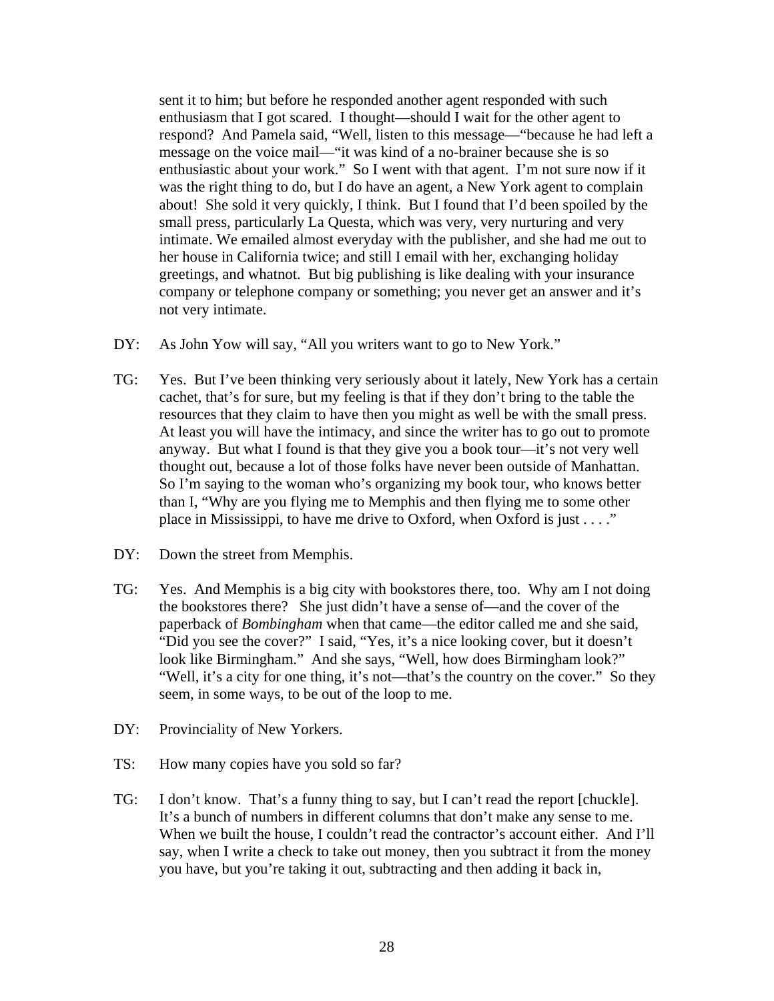sent it to him; but before he responded another agent responded with such enthusiasm that I got scared. I thought—should I wait for the other agent to respond? And Pamela said, "Well, listen to this message—"because he had left a message on the voice mail—"it was kind of a no-brainer because she is so enthusiastic about your work." So I went with that agent. I'm not sure now if it was the right thing to do, but I do have an agent, a New York agent to complain about! She sold it very quickly, I think. But I found that I'd been spoiled by the small press, particularly La Questa, which was very, very nurturing and very intimate. We emailed almost everyday with the publisher, and she had me out to her house in California twice; and still I email with her, exchanging holiday greetings, and whatnot. But big publishing is like dealing with your insurance company or telephone company or something; you never get an answer and it's not very intimate.

- DY: As John Yow will say, "All you writers want to go to New York."
- TG: Yes. But I've been thinking very seriously about it lately, New York has a certain cachet, that's for sure, but my feeling is that if they don't bring to the table the resources that they claim to have then you might as well be with the small press. At least you will have the intimacy, and since the writer has to go out to promote anyway. But what I found is that they give you a book tour—it's not very well thought out, because a lot of those folks have never been outside of Manhattan. So I'm saying to the woman who's organizing my book tour, who knows better than I, "Why are you flying me to Memphis and then flying me to some other place in Mississippi, to have me drive to Oxford, when Oxford is just . . . ."
- DY: Down the street from Memphis.
- TG: Yes. And Memphis is a big city with bookstores there, too. Why am I not doing the bookstores there? She just didn't have a sense of—and the cover of the paperback of *Bombingham* when that came—the editor called me and she said, "Did you see the cover?" I said, "Yes, it's a nice looking cover, but it doesn't look like Birmingham." And she says, "Well, how does Birmingham look?" "Well, it's a city for one thing, it's not—that's the country on the cover." So they seem, in some ways, to be out of the loop to me.
- DY: Provinciality of New Yorkers.
- TS: How many copies have you sold so far?
- TG: I don't know. That's a funny thing to say, but I can't read the report [chuckle]. It's a bunch of numbers in different columns that don't make any sense to me. When we built the house, I couldn't read the contractor's account either. And I'll say, when I write a check to take out money, then you subtract it from the money you have, but you're taking it out, subtracting and then adding it back in,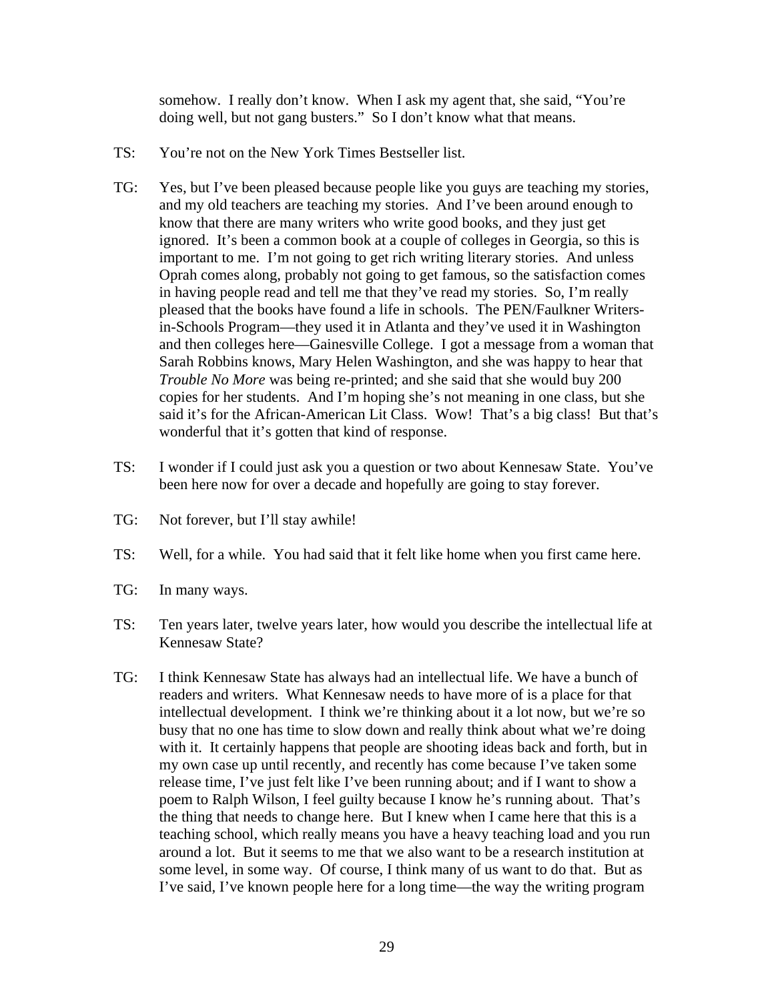somehow. I really don't know. When I ask my agent that, she said, "You're doing well, but not gang busters." So I don't know what that means.

- TS: You're not on the New York Times Bestseller list.
- TG: Yes, but I've been pleased because people like you guys are teaching my stories, and my old teachers are teaching my stories. And I've been around enough to know that there are many writers who write good books, and they just get ignored. It's been a common book at a couple of colleges in Georgia, so this is important to me. I'm not going to get rich writing literary stories. And unless Oprah comes along, probably not going to get famous, so the satisfaction comes in having people read and tell me that they've read my stories. So, I'm really pleased that the books have found a life in schools. The PEN/Faulkner Writersin-Schools Program—they used it in Atlanta and they've used it in Washington and then colleges here—Gainesville College. I got a message from a woman that Sarah Robbins knows, Mary Helen Washington, and she was happy to hear that *Trouble No More* was being re-printed; and she said that she would buy 200 copies for her students. And I'm hoping she's not meaning in one class, but she said it's for the African-American Lit Class. Wow! That's a big class! But that's wonderful that it's gotten that kind of response.
- TS: I wonder if I could just ask you a question or two about Kennesaw State. You've been here now for over a decade and hopefully are going to stay forever.
- TG: Not forever, but I'll stay awhile!
- TS: Well, for a while. You had said that it felt like home when you first came here.
- TG: In many ways.
- TS: Ten years later, twelve years later, how would you describe the intellectual life at Kennesaw State?
- TG: I think Kennesaw State has always had an intellectual life. We have a bunch of readers and writers. What Kennesaw needs to have more of is a place for that intellectual development. I think we're thinking about it a lot now, but we're so busy that no one has time to slow down and really think about what we're doing with it. It certainly happens that people are shooting ideas back and forth, but in my own case up until recently, and recently has come because I've taken some release time, I've just felt like I've been running about; and if I want to show a poem to Ralph Wilson, I feel guilty because I know he's running about. That's the thing that needs to change here. But I knew when I came here that this is a teaching school, which really means you have a heavy teaching load and you run around a lot. But it seems to me that we also want to be a research institution at some level, in some way. Of course, I think many of us want to do that. But as I've said, I've known people here for a long time—the way the writing program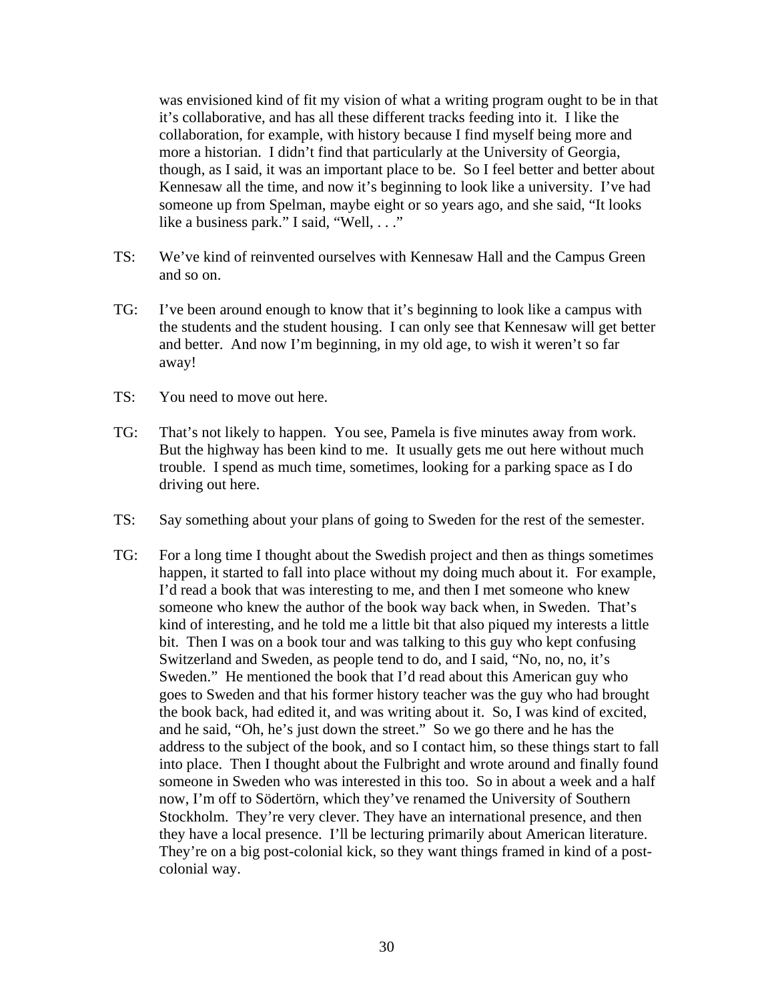was envisioned kind of fit my vision of what a writing program ought to be in that it's collaborative, and has all these different tracks feeding into it. I like the collaboration, for example, with history because I find myself being more and more a historian. I didn't find that particularly at the University of Georgia, though, as I said, it was an important place to be. So I feel better and better about Kennesaw all the time, and now it's beginning to look like a university. I've had someone up from Spelman, maybe eight or so years ago, and she said, "It looks like a business park." I said, "Well, . . ."

- TS: We've kind of reinvented ourselves with Kennesaw Hall and the Campus Green and so on.
- TG: I've been around enough to know that it's beginning to look like a campus with the students and the student housing. I can only see that Kennesaw will get better and better. And now I'm beginning, in my old age, to wish it weren't so far away!
- TS: You need to move out here.
- TG: That's not likely to happen. You see, Pamela is five minutes away from work. But the highway has been kind to me. It usually gets me out here without much trouble. I spend as much time, sometimes, looking for a parking space as I do driving out here.
- TS: Say something about your plans of going to Sweden for the rest of the semester.
- TG: For a long time I thought about the Swedish project and then as things sometimes happen, it started to fall into place without my doing much about it. For example, I'd read a book that was interesting to me, and then I met someone who knew someone who knew the author of the book way back when, in Sweden. That's kind of interesting, and he told me a little bit that also piqued my interests a little bit. Then I was on a book tour and was talking to this guy who kept confusing Switzerland and Sweden, as people tend to do, and I said, "No, no, no, it's Sweden." He mentioned the book that I'd read about this American guy who goes to Sweden and that his former history teacher was the guy who had brought the book back, had edited it, and was writing about it. So, I was kind of excited, and he said, "Oh, he's just down the street." So we go there and he has the address to the subject of the book, and so I contact him, so these things start to fall into place. Then I thought about the Fulbright and wrote around and finally found someone in Sweden who was interested in this too. So in about a week and a half now, I'm off to Södertörn, which they've renamed the University of Southern Stockholm. They're very clever. They have an international presence, and then they have a local presence. I'll be lecturing primarily about American literature. They're on a big post-colonial kick, so they want things framed in kind of a postcolonial way.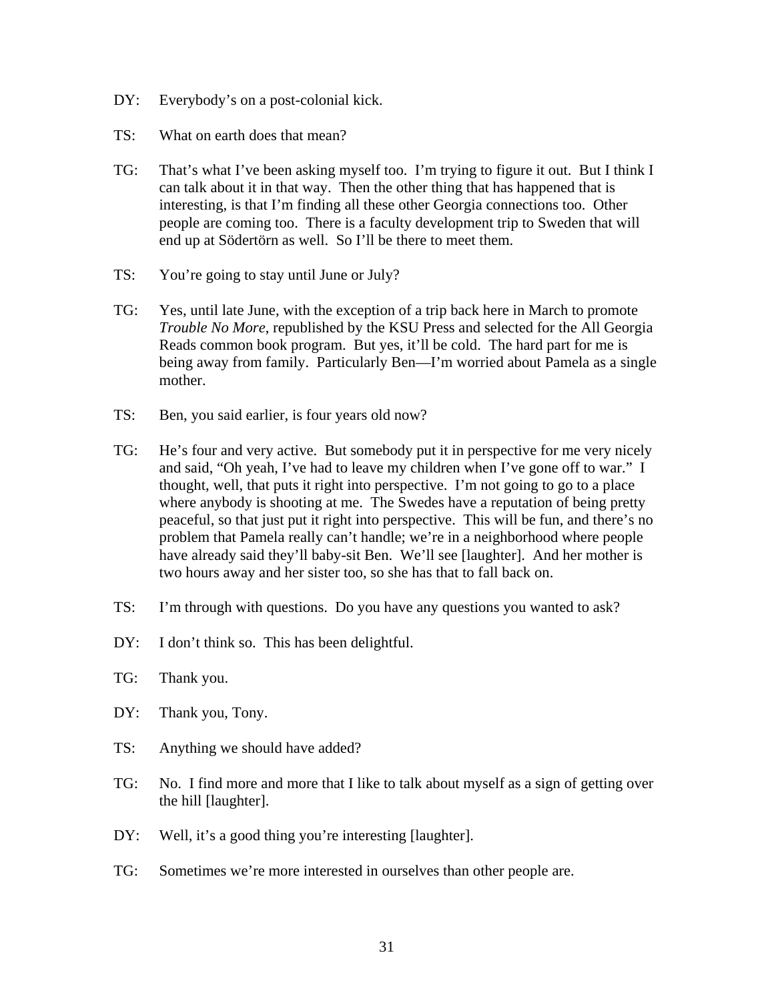- DY: Everybody's on a post-colonial kick.
- TS: What on earth does that mean?
- TG: That's what I've been asking myself too. I'm trying to figure it out. But I think I can talk about it in that way. Then the other thing that has happened that is interesting, is that I'm finding all these other Georgia connections too. Other people are coming too. There is a faculty development trip to Sweden that will end up at Södertörn as well. So I'll be there to meet them.
- TS: You're going to stay until June or July?
- TG: Yes, until late June, with the exception of a trip back here in March to promote *Trouble No More*, republished by the KSU Press and selected for the All Georgia Reads common book program. But yes, it'll be cold. The hard part for me is being away from family. Particularly Ben—I'm worried about Pamela as a single mother.
- TS: Ben, you said earlier, is four years old now?
- TG: He's four and very active. But somebody put it in perspective for me very nicely and said, "Oh yeah, I've had to leave my children when I've gone off to war." I thought, well, that puts it right into perspective. I'm not going to go to a place where anybody is shooting at me. The Swedes have a reputation of being pretty peaceful, so that just put it right into perspective. This will be fun, and there's no problem that Pamela really can't handle; we're in a neighborhood where people have already said they'll baby-sit Ben. We'll see [laughter]. And her mother is two hours away and her sister too, so she has that to fall back on.
- TS: I'm through with questions. Do you have any questions you wanted to ask?
- DY: I don't think so. This has been delightful.
- TG: Thank you.
- DY: Thank you, Tony.
- TS: Anything we should have added?
- TG: No. I find more and more that I like to talk about myself as a sign of getting over the hill [laughter].
- DY: Well, it's a good thing you're interesting [laughter].
- TG: Sometimes we're more interested in ourselves than other people are.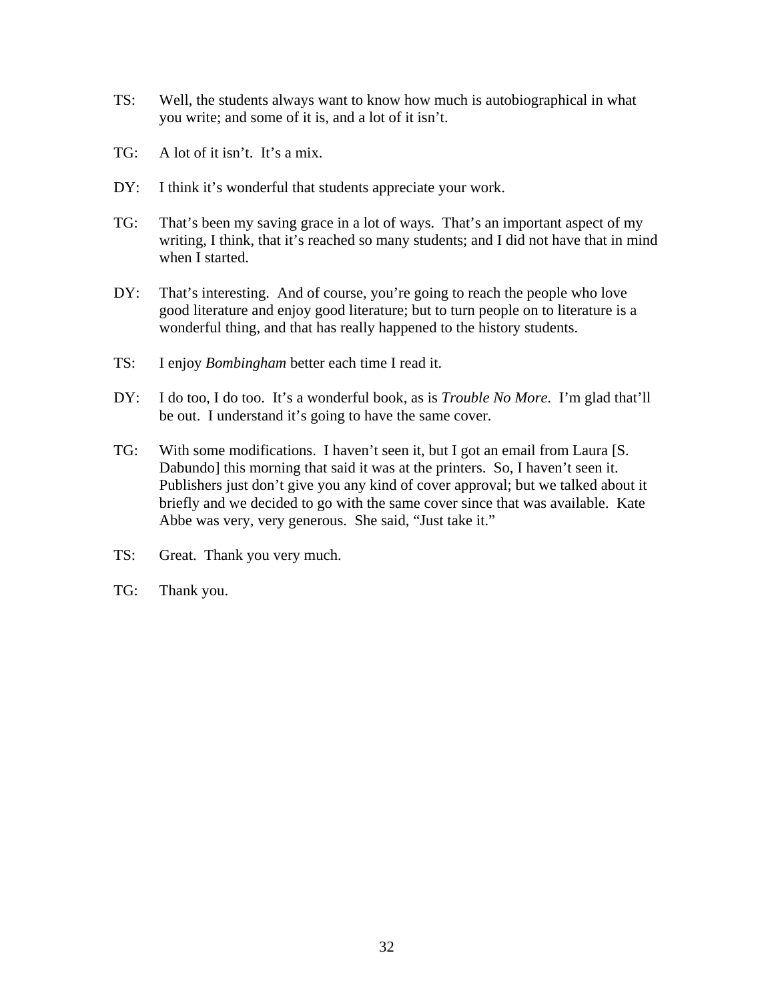- TS: Well, the students always want to know how much is autobiographical in what you write; and some of it is, and a lot of it isn't.
- TG: A lot of it isn't. It's a mix.
- DY: I think it's wonderful that students appreciate your work.
- TG: That's been my saving grace in a lot of ways. That's an important aspect of my writing, I think, that it's reached so many students; and I did not have that in mind when I started.
- DY: That's interesting. And of course, you're going to reach the people who love good literature and enjoy good literature; but to turn people on to literature is a wonderful thing, and that has really happened to the history students.
- TS: I enjoy *Bombingham* better each time I read it.
- DY: I do too, I do too. It's a wonderful book, as is *Trouble No More*. I'm glad that'll be out. I understand it's going to have the same cover.
- TG: With some modifications. I haven't seen it, but I got an email from Laura [S. Dabundo] this morning that said it was at the printers. So, I haven't seen it. Publishers just don't give you any kind of cover approval; but we talked about it briefly and we decided to go with the same cover since that was available. Kate Abbe was very, very generous. She said, "Just take it."
- TS: Great. Thank you very much.
- TG: Thank you.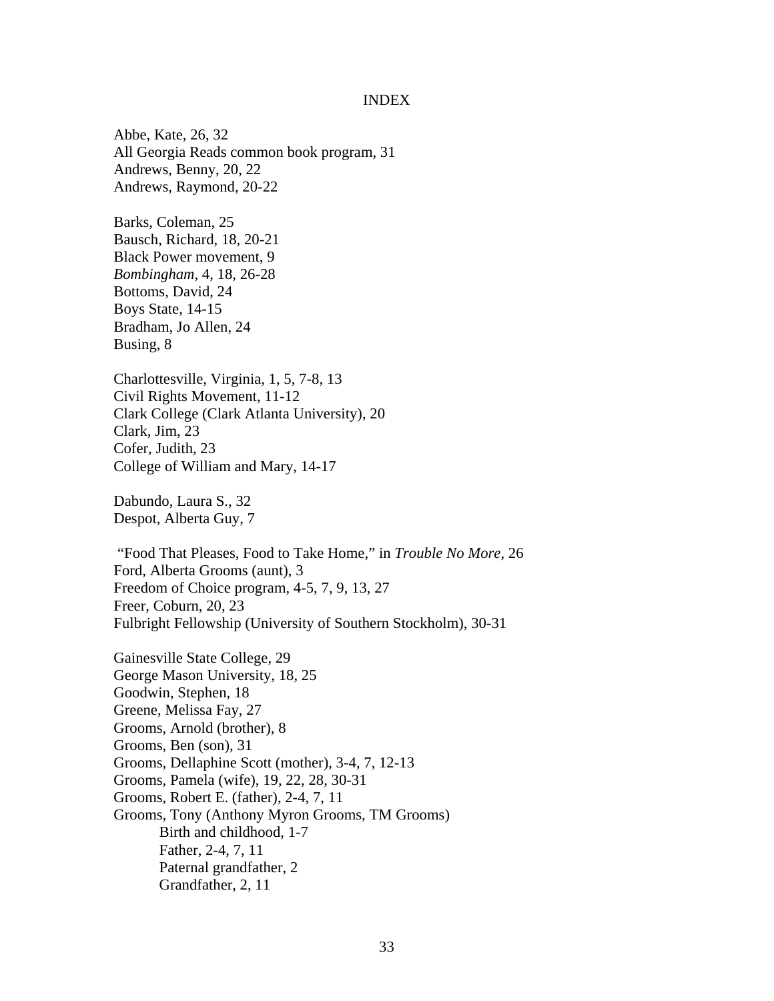## INDEX

Abbe, Kate, 26, 32 All Georgia Reads common book program, 31 Andrews, Benny, 20, 22 Andrews, Raymond, 20-22

Barks, Coleman, 25 Bausch, Richard, 18, 20-21 Black Power movement, 9 *Bombingham*, 4, 18, 26-28 Bottoms, David, 24 Boys State, 14-15 Bradham, Jo Allen, 24 Busing, 8

Charlottesville, Virginia, 1, 5, 7-8, 13 Civil Rights Movement, 11-12 Clark College (Clark Atlanta University), 20 Clark, Jim, 23 Cofer, Judith, 23 College of William and Mary, 14-17

Dabundo, Laura S., 32 Despot, Alberta Guy, 7

 "Food That Pleases, Food to Take Home," in *Trouble No More,* 26 Ford, Alberta Grooms (aunt), 3 Freedom of Choice program, 4-5, 7, 9, 13, 27 Freer, Coburn, 20, 23 Fulbright Fellowship (University of Southern Stockholm), 30-31

Gainesville State College, 29 George Mason University, 18, 25 Goodwin, Stephen, 18 Greene, Melissa Fay, 27 Grooms, Arnold (brother), 8 Grooms, Ben (son), 31 Grooms, Dellaphine Scott (mother), 3-4, 7, 12-13 Grooms, Pamela (wife), 19, 22, 28, 30-31 Grooms, Robert E. (father), 2-4, 7, 11 Grooms, Tony (Anthony Myron Grooms, TM Grooms) Birth and childhood, 1-7 Father, 2-4, 7, 11 Paternal grandfather, 2 Grandfather, 2, 11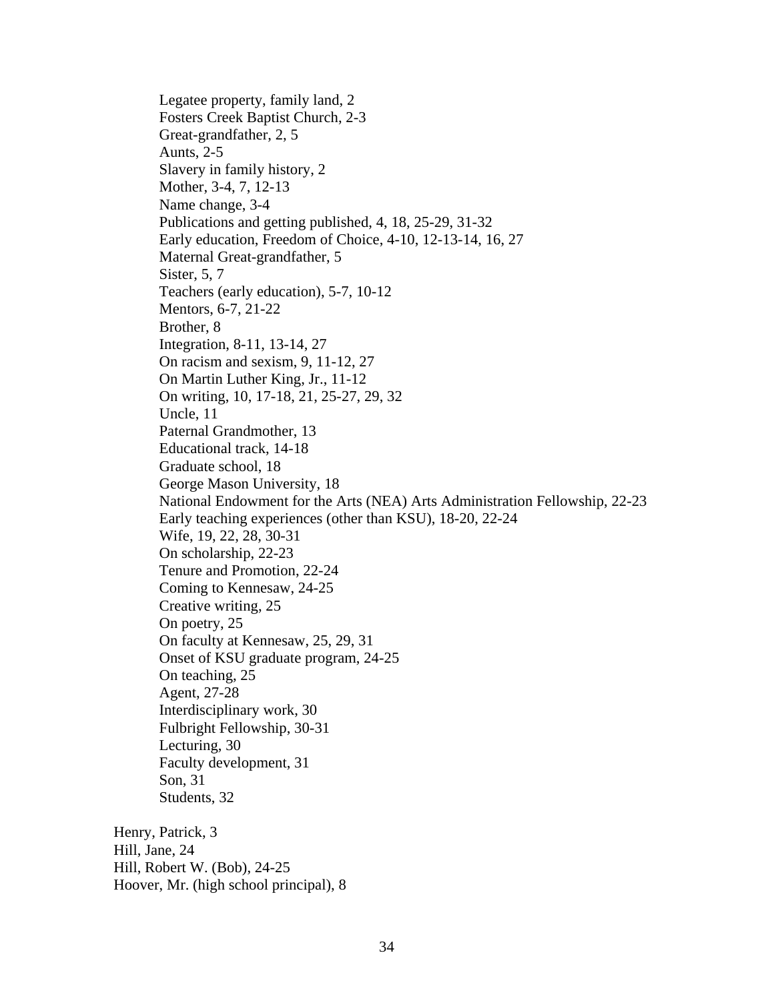Legatee property, family land, 2 Fosters Creek Baptist Church, 2-3 Great-grandfather, 2, 5 Aunts, 2-5 Slavery in family history, 2 Mother, 3-4, 7, 12-13 Name change, 3-4 Publications and getting published, 4, 18, 25-29, 31-32 Early education, Freedom of Choice, 4-10, 12-13-14, 16, 27 Maternal Great-grandfather, 5 Sister, 5, 7 Teachers (early education), 5-7, 10-12 Mentors, 6-7, 21-22 Brother, 8 Integration, 8-11, 13-14, 27 On racism and sexism, 9, 11-12, 27 On Martin Luther King, Jr., 11-12 On writing, 10, 17-18, 21, 25-27, 29, 32 Uncle, 11 Paternal Grandmother, 13 Educational track, 14-18 Graduate school, 18 George Mason University, 18 National Endowment for the Arts (NEA) Arts Administration Fellowship, 22-23 Early teaching experiences (other than KSU), 18-20, 22-24 Wife, 19, 22, 28, 30-31 On scholarship, 22-23 Tenure and Promotion, 22-24 Coming to Kennesaw, 24-25 Creative writing, 25 On poetry, 25 On faculty at Kennesaw, 25, 29, 31 Onset of KSU graduate program, 24-25 On teaching, 25 Agent, 27-28 Interdisciplinary work, 30 Fulbright Fellowship, 30-31 Lecturing, 30 Faculty development, 31 Son, 31 Students, 32 Henry, Patrick, 3 Hill, Jane, 24 Hill, Robert W. (Bob), 24-25

Hoover, Mr. (high school principal), 8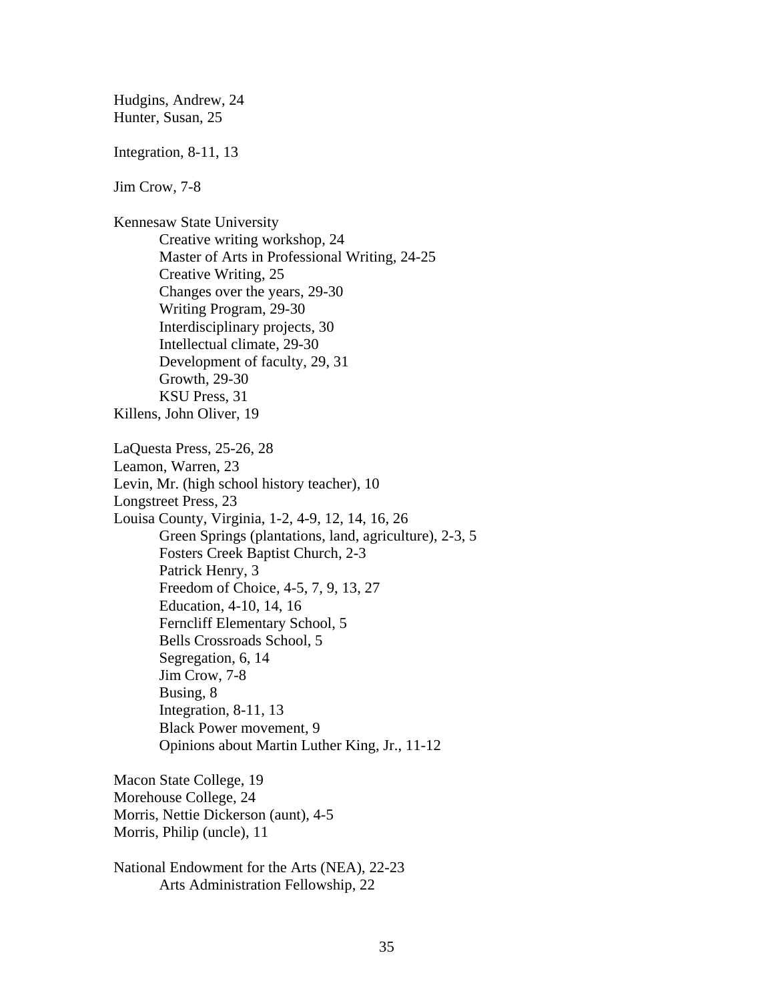Hudgins, Andrew, 24 Hunter, Susan, 25

Integration, 8-11, 13

Jim Crow, 7-8

Kennesaw State University Creative writing workshop, 24 Master of Arts in Professional Writing, 24-25 Creative Writing, 25 Changes over the years, 29-30 Writing Program, 29-30 Interdisciplinary projects, 30 Intellectual climate, 29-30 Development of faculty, 29, 31 Growth, 29-30 KSU Press, 31 Killens, John Oliver, 19

LaQuesta Press, 25-26, 28 Leamon, Warren, 23 Levin, Mr. (high school history teacher), 10 Longstreet Press, 23 Louisa County, Virginia, 1-2, 4-9, 12, 14, 16, 26 Green Springs (plantations, land, agriculture), 2-3, 5 Fosters Creek Baptist Church, 2-3 Patrick Henry, 3 Freedom of Choice, 4-5, 7, 9, 13, 27 Education, 4-10, 14, 16 Ferncliff Elementary School, 5 Bells Crossroads School, 5 Segregation, 6, 14 Jim Crow, 7-8 Busing, 8 Integration, 8-11, 13 Black Power movement, 9 Opinions about Martin Luther King, Jr., 11-12

Macon State College, 19 Morehouse College, 24 Morris, Nettie Dickerson (aunt), 4-5 Morris, Philip (uncle), 11

National Endowment for the Arts (NEA), 22-23 Arts Administration Fellowship, 22